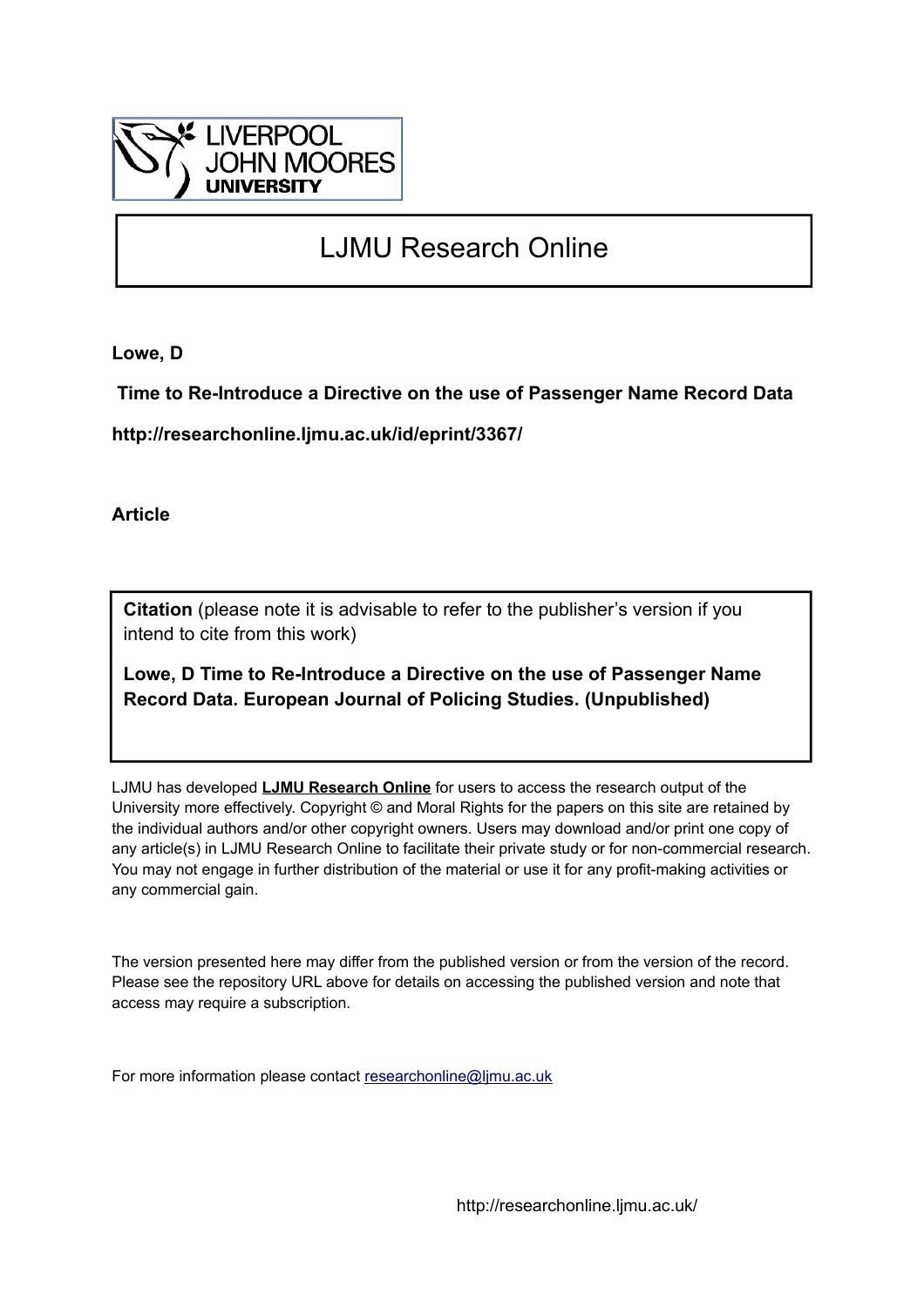

# LJMU Research Online

**Lowe, D**

 **Time to Re-Introduce a Directive on the use of Passenger Name Record Data**

**http://researchonline.ljmu.ac.uk/id/eprint/3367/**

**Article**

**Citation** (please note it is advisable to refer to the publisher's version if you intend to cite from this work)

**Lowe, D Time to Re-Introduce a Directive on the use of Passenger Name Record Data. European Journal of Policing Studies. (Unpublished)** 

LJMU has developed **[LJMU Research Online](http://researchonline.ljmu.ac.uk/)** for users to access the research output of the University more effectively. Copyright © and Moral Rights for the papers on this site are retained by the individual authors and/or other copyright owners. Users may download and/or print one copy of any article(s) in LJMU Research Online to facilitate their private study or for non-commercial research. You may not engage in further distribution of the material or use it for any profit-making activities or any commercial gain.

The version presented here may differ from the published version or from the version of the record. Please see the repository URL above for details on accessing the published version and note that access may require a subscription.

For more information please contact [researchonline@ljmu.ac.uk](mailto:researchonline@ljmu.ac.uk)

http://researchonline.ljmu.ac.uk/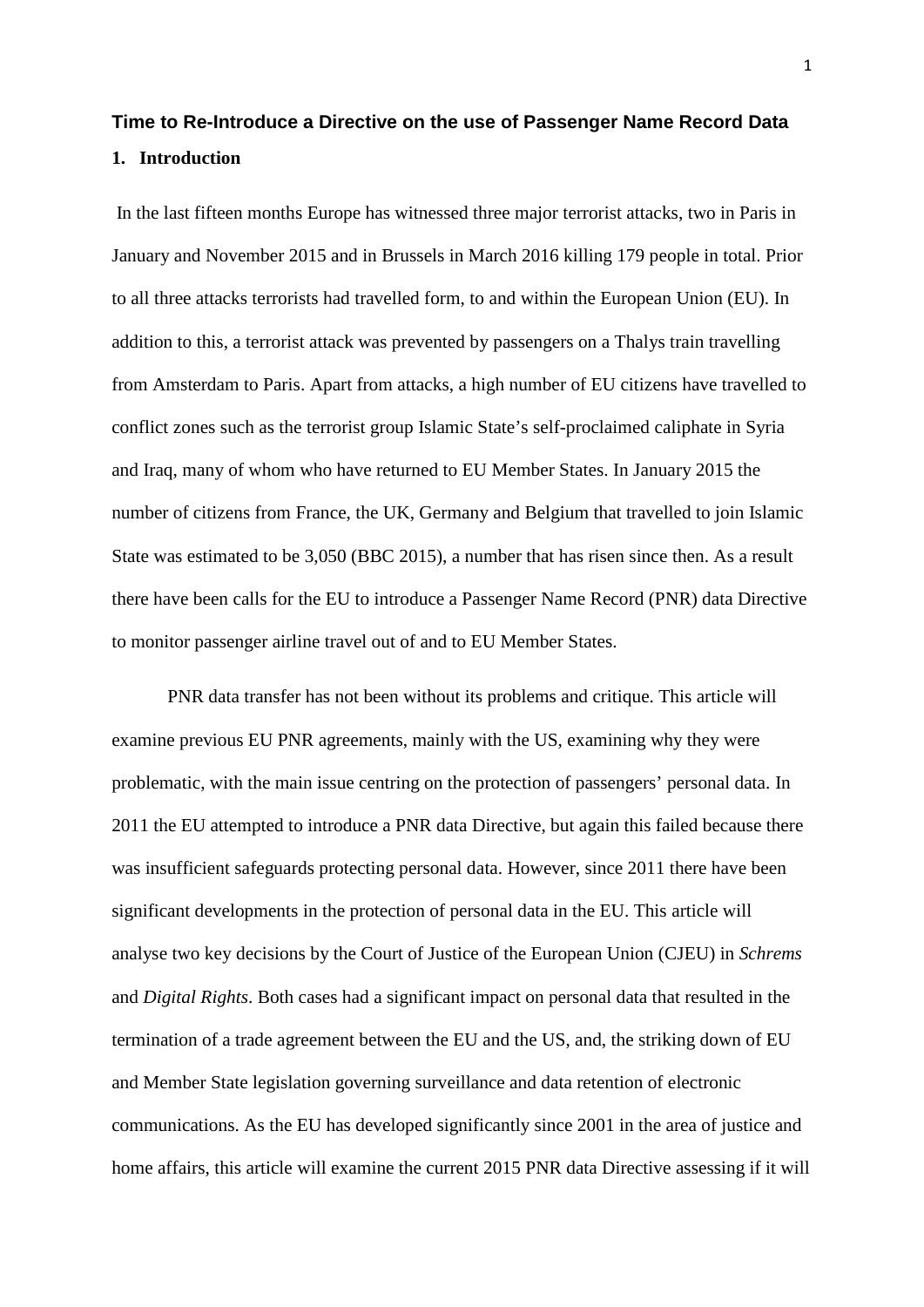## **Time to Re-Introduce a Directive on the use of Passenger Name Record Data 1. Introduction**

In the last fifteen months Europe has witnessed three major terrorist attacks, two in Paris in January and November 2015 and in Brussels in March 2016 killing 179 people in total. Prior to all three attacks terrorists had travelled form, to and within the European Union (EU). In addition to this, a terrorist attack was prevented by passengers on a Thalys train travelling from Amsterdam to Paris. Apart from attacks, a high number of EU citizens have travelled to conflict zones such as the terrorist group Islamic State's self-proclaimed caliphate in Syria and Iraq, many of whom who have returned to EU Member States. In January 2015 the number of citizens from France, the UK, Germany and Belgium that travelled to join Islamic State was estimated to be 3,050 (BBC 2015), a number that has risen since then. As a result there have been calls for the EU to introduce a Passenger Name Record (PNR) data Directive to monitor passenger airline travel out of and to EU Member States.

PNR data transfer has not been without its problems and critique. This article will examine previous EU PNR agreements, mainly with the US, examining why they were problematic, with the main issue centring on the protection of passengers' personal data. In 2011 the EU attempted to introduce a PNR data Directive, but again this failed because there was insufficient safeguards protecting personal data. However, since 2011 there have been significant developments in the protection of personal data in the EU. This article will analyse two key decisions by the Court of Justice of the European Union (CJEU) in *Schrems*  and *Digital Rights*. Both cases had a significant impact on personal data that resulted in the termination of a trade agreement between the EU and the US, and, the striking down of EU and Member State legislation governing surveillance and data retention of electronic communications. As the EU has developed significantly since 2001 in the area of justice and home affairs, this article will examine the current 2015 PNR data Directive assessing if it will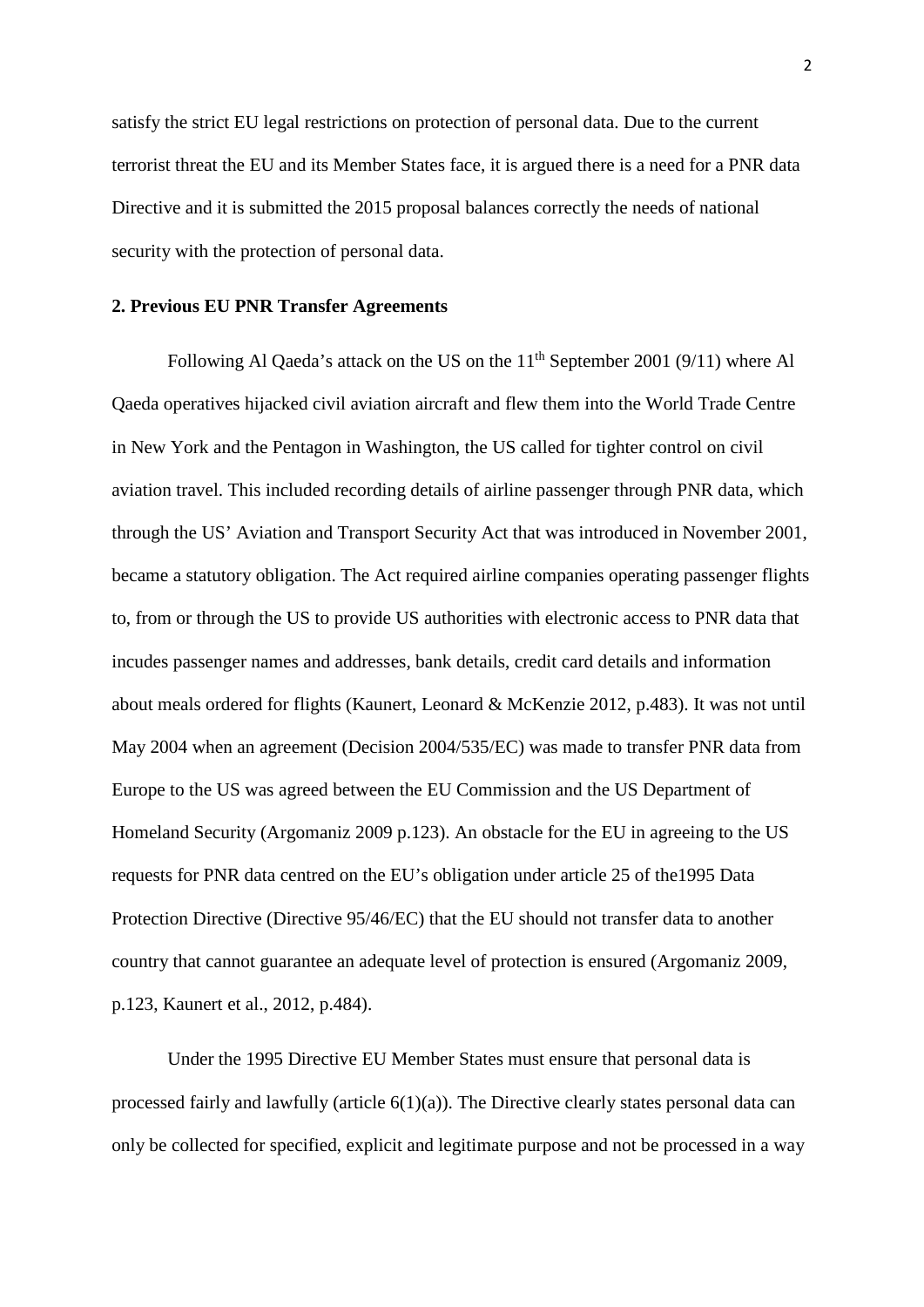satisfy the strict EU legal restrictions on protection of personal data. Due to the current terrorist threat the EU and its Member States face, it is argued there is a need for a PNR data Directive and it is submitted the 2015 proposal balances correctly the needs of national security with the protection of personal data.

#### **2. Previous EU PNR Transfer Agreements**

Following Al Qaeda's attack on the US on the  $11<sup>th</sup>$  September 2001 (9/11) where Al Qaeda operatives hijacked civil aviation aircraft and flew them into the World Trade Centre in New York and the Pentagon in Washington, the US called for tighter control on civil aviation travel. This included recording details of airline passenger through PNR data, which through the US' Aviation and Transport Security Act that was introduced in November 2001, became a statutory obligation. The Act required airline companies operating passenger flights to, from or through the US to provide US authorities with electronic access to PNR data that incudes passenger names and addresses, bank details, credit card details and information about meals ordered for flights (Kaunert, Leonard & McKenzie 2012, p.483). It was not until May 2004 when an agreement (Decision 2004/535/EC) was made to transfer PNR data from Europe to the US was agreed between the EU Commission and the US Department of Homeland Security (Argomaniz 2009 p.123). An obstacle for the EU in agreeing to the US requests for PNR data centred on the EU's obligation under article 25 of the1995 Data Protection Directive (Directive 95/46/EC) that the EU should not transfer data to another country that cannot guarantee an adequate level of protection is ensured (Argomaniz 2009, p.123, Kaunert et al., 2012, p.484).

Under the 1995 Directive EU Member States must ensure that personal data is processed fairly and lawfully (article 6(1)(a)). The Directive clearly states personal data can only be collected for specified, explicit and legitimate purpose and not be processed in a way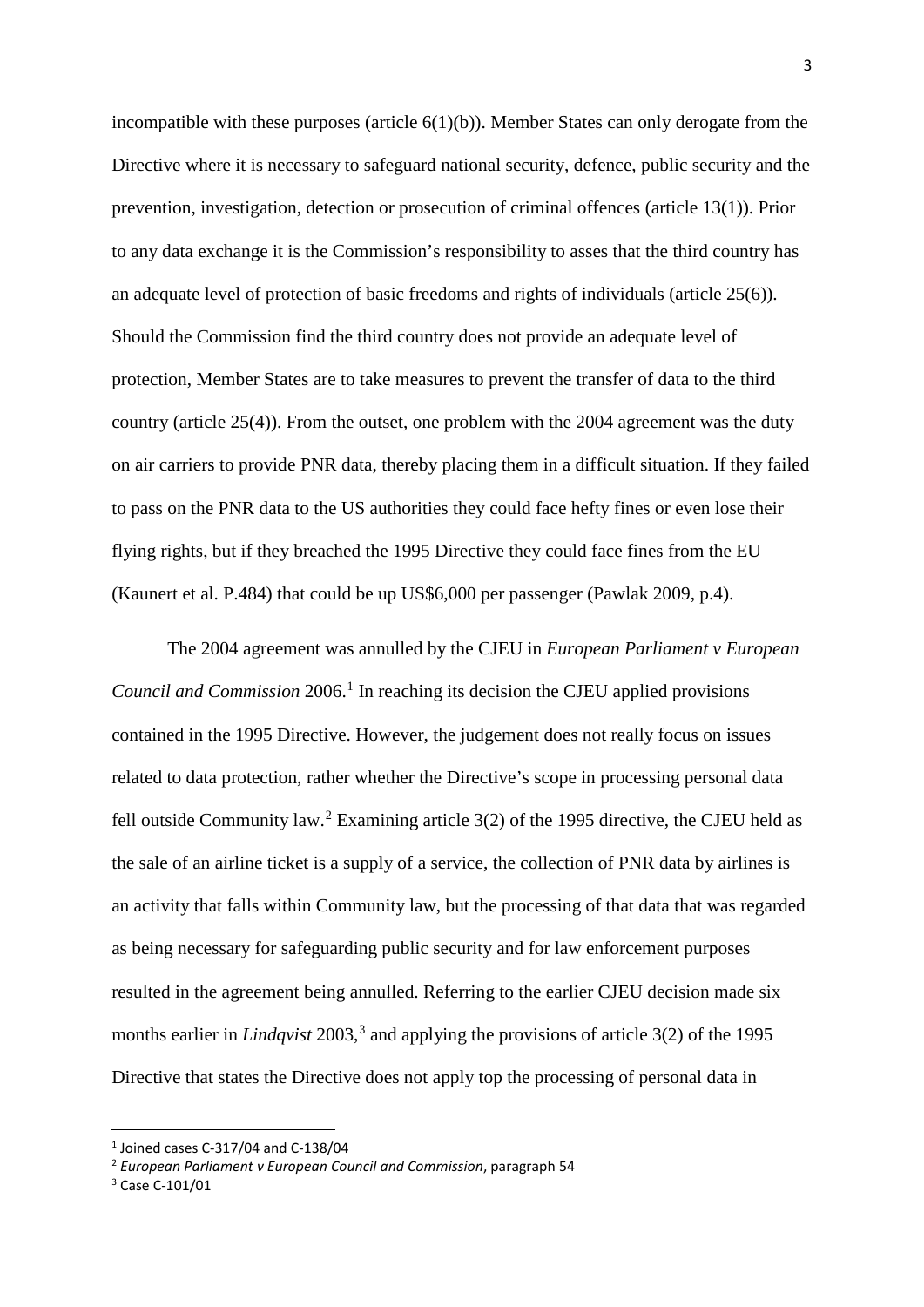incompatible with these purposes (article  $6(1)(b)$ ). Member States can only derogate from the Directive where it is necessary to safeguard national security, defence, public security and the prevention, investigation, detection or prosecution of criminal offences (article 13(1)). Prior to any data exchange it is the Commission's responsibility to asses that the third country has an adequate level of protection of basic freedoms and rights of individuals (article 25(6)). Should the Commission find the third country does not provide an adequate level of protection, Member States are to take measures to prevent the transfer of data to the third country (article 25(4)). From the outset, one problem with the 2004 agreement was the duty on air carriers to provide PNR data, thereby placing them in a difficult situation. If they failed to pass on the PNR data to the US authorities they could face hefty fines or even lose their flying rights, but if they breached the 1995 Directive they could face fines from the EU (Kaunert et al. P.484) that could be up US\$6,000 per passenger (Pawlak 2009, p.4).

The 2004 agreement was annulled by the CJEU in *European Parliament v European Council and Commission* 2006. [1](#page-3-0) In reaching its decision the CJEU applied provisions contained in the 1995 Directive. However, the judgement does not really focus on issues related to data protection, rather whether the Directive's scope in processing personal data fell outside Community law.<sup>[2](#page-3-1)</sup> Examining article  $3(2)$  of the 1995 directive, the CJEU held as the sale of an airline ticket is a supply of a service, the collection of PNR data by airlines is an activity that falls within Community law, but the processing of that data that was regarded as being necessary for safeguarding public security and for law enforcement purposes resulted in the agreement being annulled. Referring to the earlier CJEU decision made six months earlier in *Lindqvist* 2003, [3](#page-3-2) and applying the provisions of article 3(2) of the 1995 Directive that states the Directive does not apply top the processing of personal data in

<span id="page-3-0"></span> $1$  Joined cases C-317/04 and C-138/04

<span id="page-3-1"></span><sup>2</sup> *European Parliament v European Council and Commission*, paragraph 54

<span id="page-3-2"></span><sup>3</sup> Case C-101/01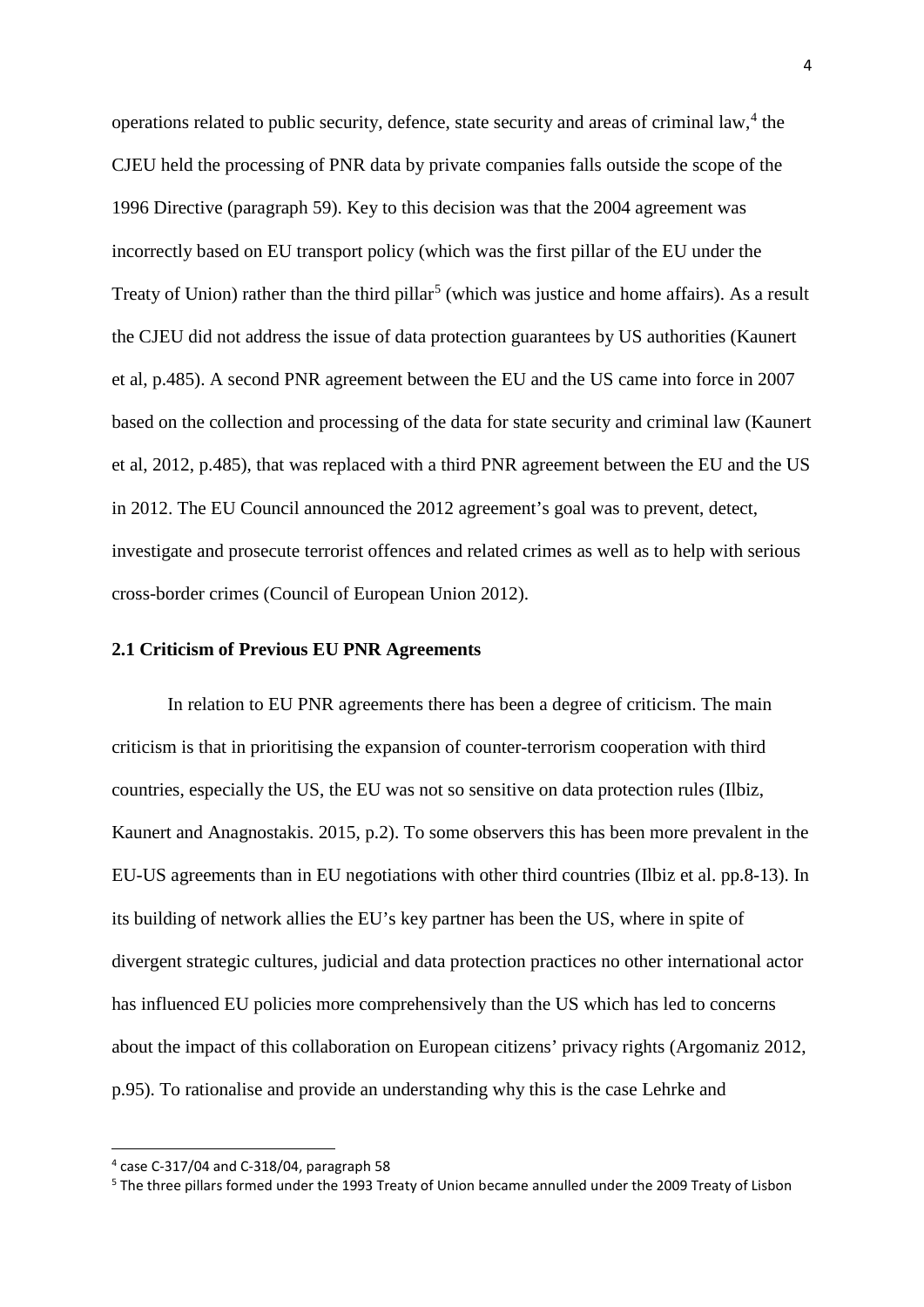operations related to public security, defence, state security and areas of criminal law, [4](#page-4-0) the CJEU held the processing of PNR data by private companies falls outside the scope of the 1996 Directive (paragraph 59). Key to this decision was that the 2004 agreement was incorrectly based on EU transport policy (which was the first pillar of the EU under the Treaty of Union) rather than the third pillar<sup>[5](#page-4-1)</sup> (which was justice and home affairs). As a result the CJEU did not address the issue of data protection guarantees by US authorities (Kaunert et al, p.485). A second PNR agreement between the EU and the US came into force in 2007 based on the collection and processing of the data for state security and criminal law (Kaunert et al, 2012, p.485), that was replaced with a third PNR agreement between the EU and the US in 2012. The EU Council announced the 2012 agreement's goal was to prevent, detect, investigate and prosecute terrorist offences and related crimes as well as to help with serious cross-border crimes (Council of European Union 2012).

#### **2.1 Criticism of Previous EU PNR Agreements**

In relation to EU PNR agreements there has been a degree of criticism. The main criticism is that in prioritising the expansion of counter-terrorism cooperation with third countries, especially the US, the EU was not so sensitive on data protection rules (Ilbiz, Kaunert and Anagnostakis. 2015, p.2). To some observers this has been more prevalent in the EU-US agreements than in EU negotiations with other third countries (Ilbiz et al. pp.8-13). In its building of network allies the EU's key partner has been the US, where in spite of divergent strategic cultures, judicial and data protection practices no other international actor has influenced EU policies more comprehensively than the US which has led to concerns about the impact of this collaboration on European citizens' privacy rights (Argomaniz 2012, p.95). To rationalise and provide an understanding why this is the case Lehrke and

<span id="page-4-0"></span> <sup>4</sup> case C-317/04 and C-318/04, paragraph 58

<span id="page-4-1"></span><sup>5</sup> The three pillars formed under the 1993 Treaty of Union became annulled under the 2009 Treaty of Lisbon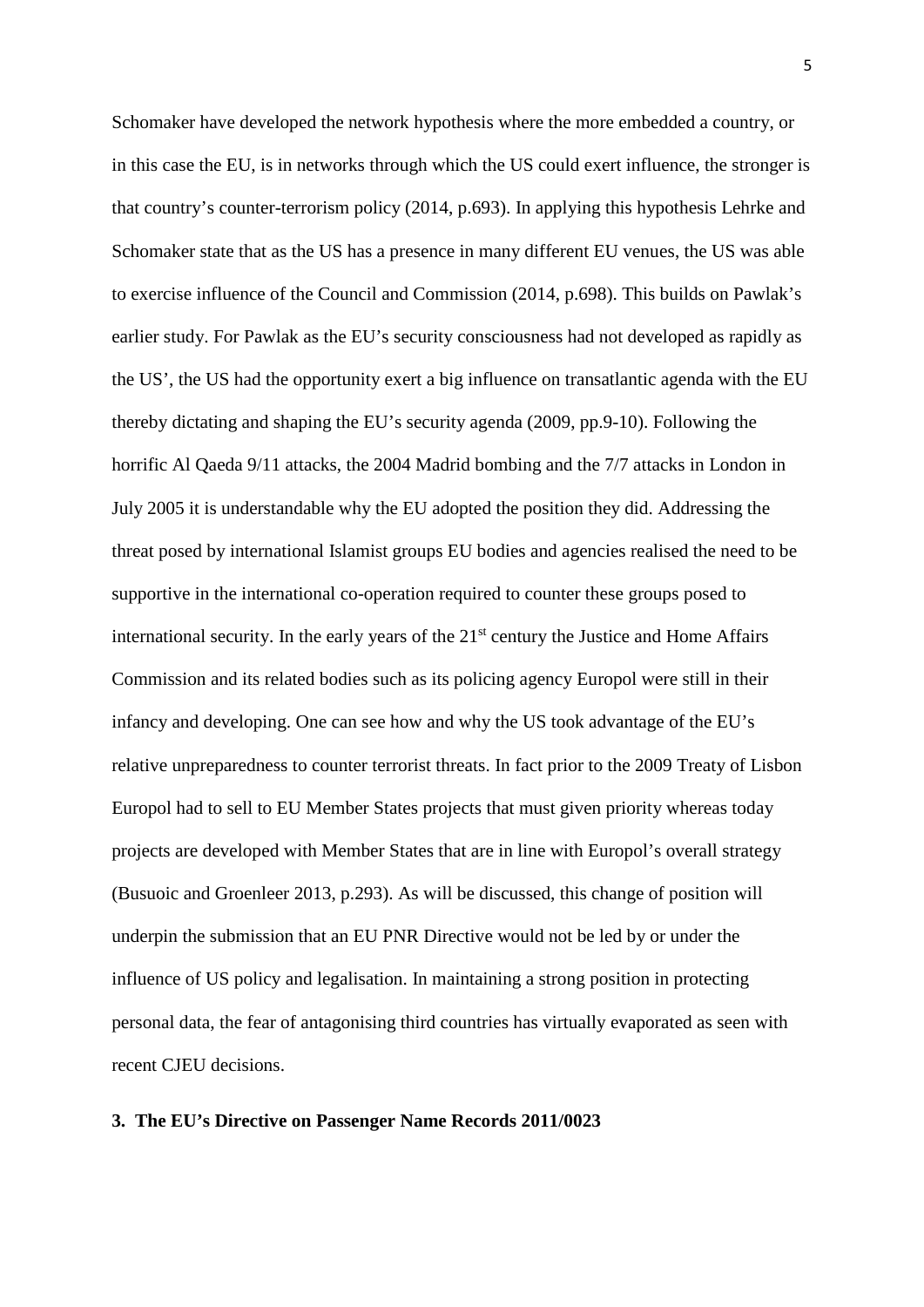Schomaker have developed the network hypothesis where the more embedded a country, or in this case the EU, is in networks through which the US could exert influence, the stronger is that country's counter-terrorism policy (2014, p.693). In applying this hypothesis Lehrke and Schomaker state that as the US has a presence in many different EU venues, the US was able to exercise influence of the Council and Commission (2014, p.698). This builds on Pawlak's earlier study. For Pawlak as the EU's security consciousness had not developed as rapidly as the US', the US had the opportunity exert a big influence on transatlantic agenda with the EU thereby dictating and shaping the EU's security agenda (2009, pp.9-10). Following the horrific Al Qaeda 9/11 attacks, the 2004 Madrid bombing and the 7/7 attacks in London in July 2005 it is understandable why the EU adopted the position they did. Addressing the threat posed by international Islamist groups EU bodies and agencies realised the need to be supportive in the international co-operation required to counter these groups posed to international security. In the early years of the  $21<sup>st</sup>$  century the Justice and Home Affairs Commission and its related bodies such as its policing agency Europol were still in their infancy and developing. One can see how and why the US took advantage of the EU's relative unpreparedness to counter terrorist threats. In fact prior to the 2009 Treaty of Lisbon Europol had to sell to EU Member States projects that must given priority whereas today projects are developed with Member States that are in line with Europol's overall strategy (Busuoic and Groenleer 2013, p.293). As will be discussed, this change of position will underpin the submission that an EU PNR Directive would not be led by or under the influence of US policy and legalisation. In maintaining a strong position in protecting personal data, the fear of antagonising third countries has virtually evaporated as seen with recent CJEU decisions.

#### **3. The EU's Directive on Passenger Name Records 2011/0023**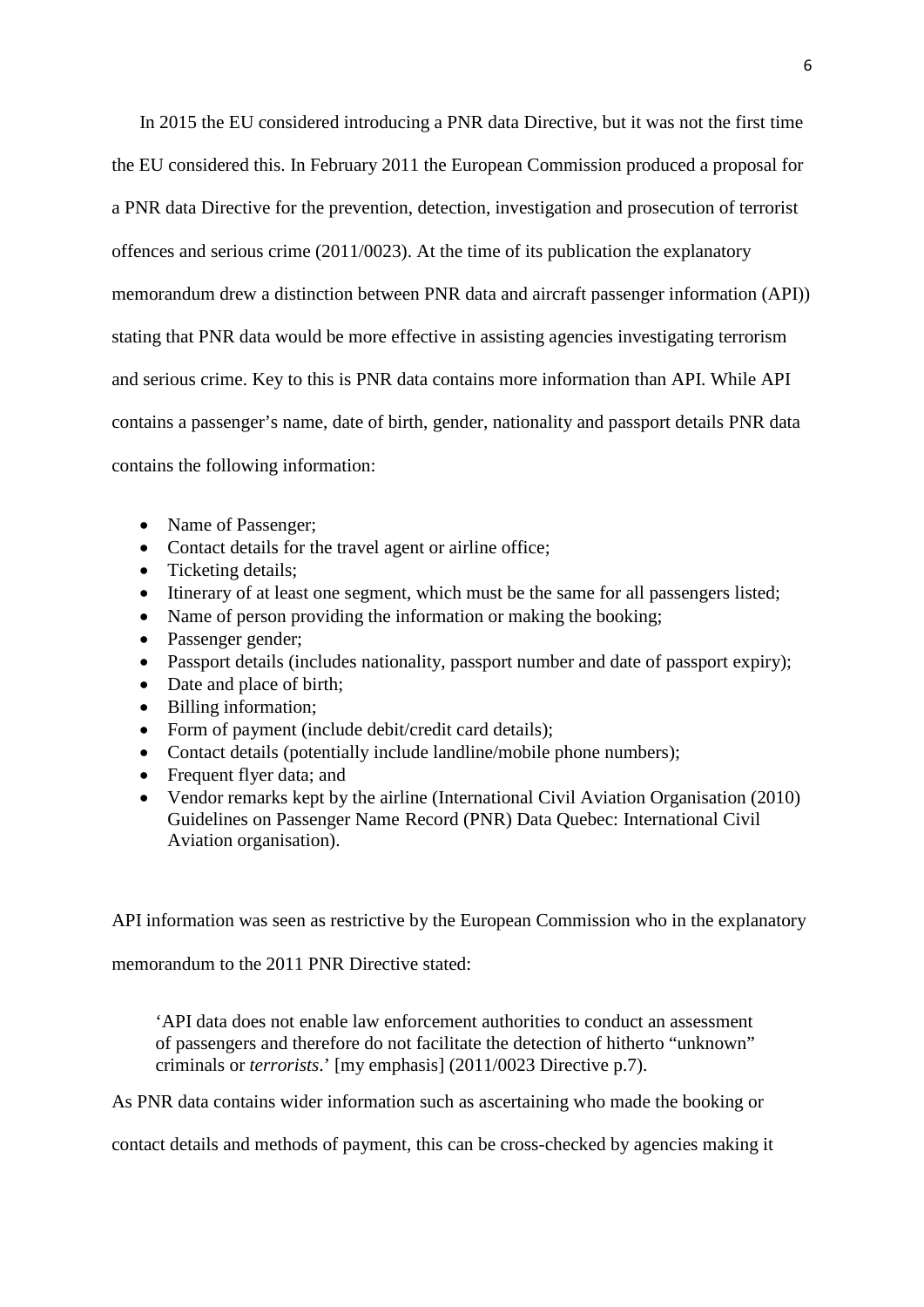In 2015 the EU considered introducing a PNR data Directive, but it was not the first time the EU considered this. In February 2011 the European Commission produced a proposal for a PNR data Directive for the prevention, detection, investigation and prosecution of terrorist offences and serious crime (2011/0023). At the time of its publication the explanatory memorandum drew a distinction between PNR data and aircraft passenger information (API)) stating that PNR data would be more effective in assisting agencies investigating terrorism and serious crime. Key to this is PNR data contains more information than API. While API contains a passenger's name, date of birth, gender, nationality and passport details PNR data contains the following information:

- Name of Passenger;
- Contact details for the travel agent or airline office;
- Ticketing details:
- Itinerary of at least one segment, which must be the same for all passengers listed;
- Name of person providing the information or making the booking;
- Passenger gender;
- Passport details (includes nationality, passport number and date of passport expiry);
- Date and place of birth;
- Billing information:
- Form of payment (include debit/credit card details);
- Contact details (potentially include landline/mobile phone numbers);
- Frequent flyer data; and
- Vendor remarks kept by the airline (International Civil Aviation Organisation (2010) Guidelines on Passenger Name Record (PNR) Data Quebec: International Civil Aviation organisation).

API information was seen as restrictive by the European Commission who in the explanatory

memorandum to the 2011 PNR Directive stated:

'API data does not enable law enforcement authorities to conduct an assessment of passengers and therefore do not facilitate the detection of hitherto "unknown" criminals or *terrorists*.' [my emphasis] (2011/0023 Directive p.7).

As PNR data contains wider information such as ascertaining who made the booking or

contact details and methods of payment, this can be cross-checked by agencies making it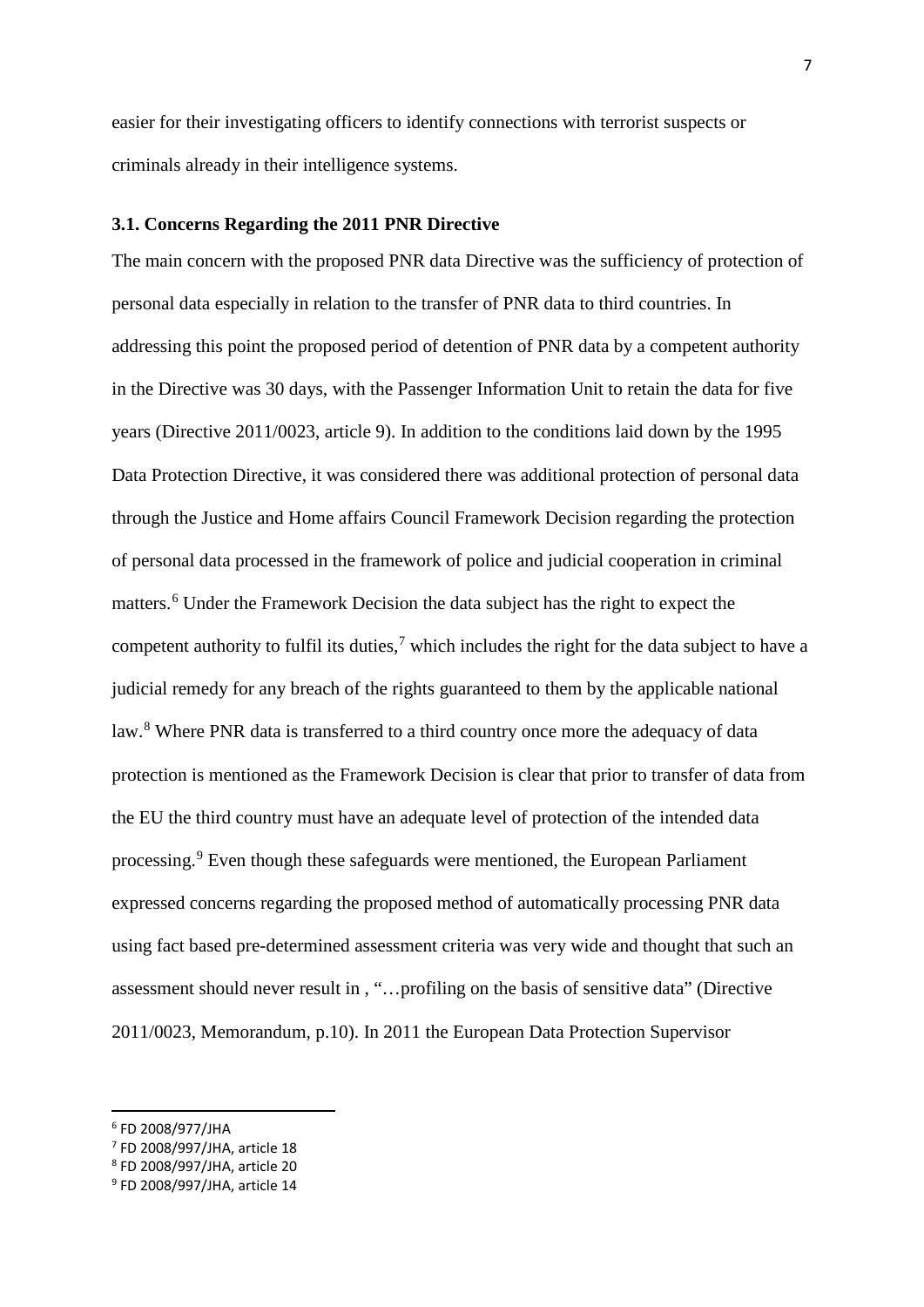easier for their investigating officers to identify connections with terrorist suspects or criminals already in their intelligence systems.

#### **3.1. Concerns Regarding the 2011 PNR Directive**

The main concern with the proposed PNR data Directive was the sufficiency of protection of personal data especially in relation to the transfer of PNR data to third countries. In addressing this point the proposed period of detention of PNR data by a competent authority in the Directive was 30 days, with the Passenger Information Unit to retain the data for five years (Directive 2011/0023, article 9). In addition to the conditions laid down by the 1995 Data Protection Directive, it was considered there was additional protection of personal data through the Justice and Home affairs Council Framework Decision regarding the protection of personal data processed in the framework of police and judicial cooperation in criminal matters. [6](#page-7-0) Under the Framework Decision the data subject has the right to expect the competent authority to fulfil its duties,<sup>[7](#page-7-1)</sup> which includes the right for the data subject to have a judicial remedy for any breach of the rights guaranteed to them by the applicable national law.<sup>[8](#page-7-2)</sup> Where PNR data is transferred to a third country once more the adequacy of data protection is mentioned as the Framework Decision is clear that prior to transfer of data from the EU the third country must have an adequate level of protection of the intended data processing. [9](#page-7-3) Even though these safeguards were mentioned, the European Parliament expressed concerns regarding the proposed method of automatically processing PNR data using fact based pre-determined assessment criteria was very wide and thought that such an assessment should never result in , "…profiling on the basis of sensitive data" (Directive 2011/0023, Memorandum, p.10). In 2011 the European Data Protection Supervisor

<span id="page-7-0"></span> <sup>6</sup> FD 2008/977/JHA

<span id="page-7-1"></span><sup>7</sup> FD 2008/997/JHA, article 18

<span id="page-7-2"></span><sup>8</sup> FD 2008/997/JHA, article 20

<span id="page-7-3"></span><sup>9</sup> FD 2008/997/JHA, article 14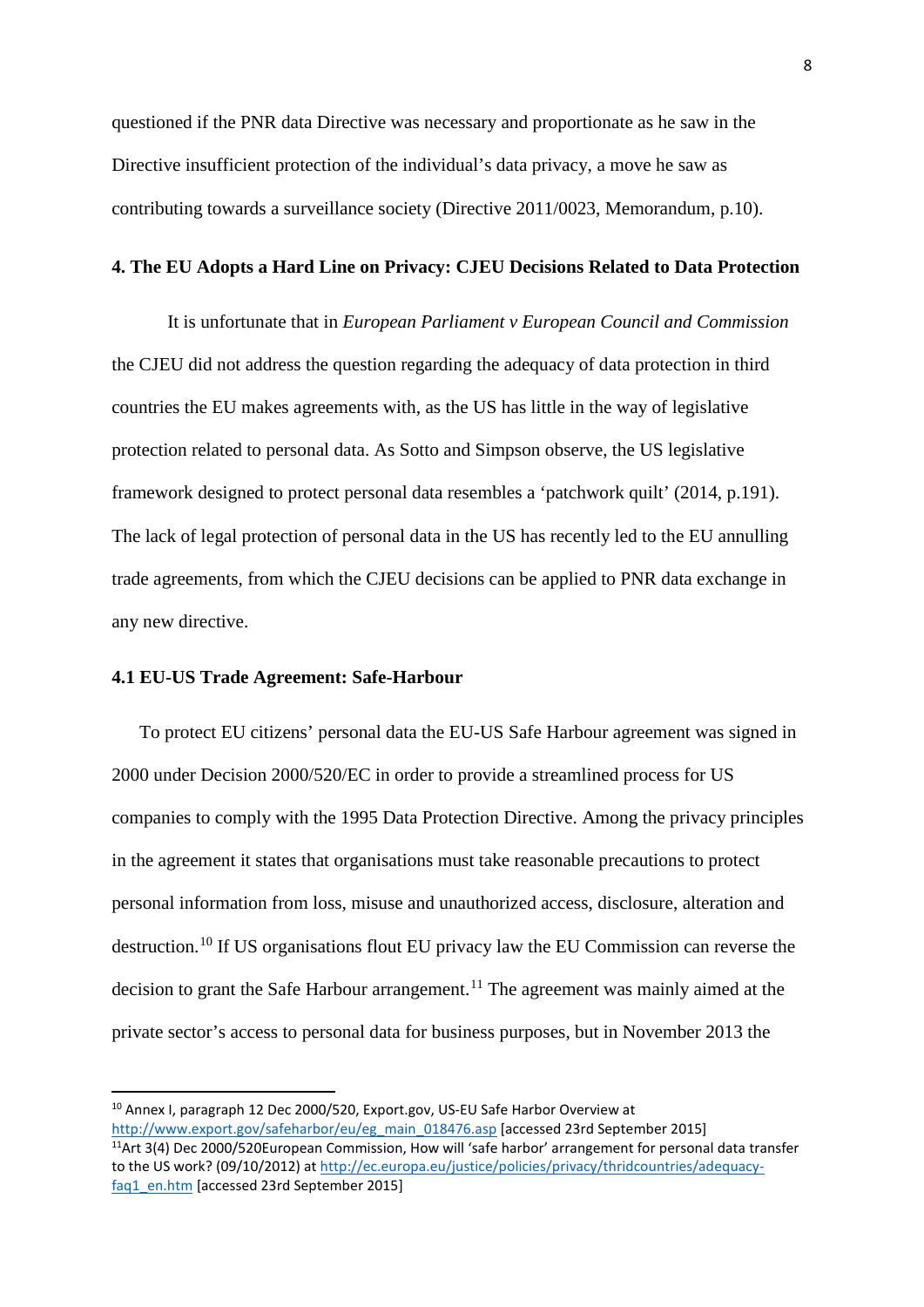questioned if the PNR data Directive was necessary and proportionate as he saw in the Directive insufficient protection of the individual's data privacy, a move he saw as contributing towards a surveillance society (Directive 2011/0023, Memorandum, p.10).

#### **4. The EU Adopts a Hard Line on Privacy: CJEU Decisions Related to Data Protection**

It is unfortunate that in *European Parliament v European Council and Commission* the CJEU did not address the question regarding the adequacy of data protection in third countries the EU makes agreements with, as the US has little in the way of legislative protection related to personal data. As Sotto and Simpson observe, the US legislative framework designed to protect personal data resembles a 'patchwork quilt' (2014, p.191). The lack of legal protection of personal data in the US has recently led to the EU annulling trade agreements, from which the CJEU decisions can be applied to PNR data exchange in any new directive.

#### **4.1 EU-US Trade Agreement: Safe-Harbour**

To protect EU citizens' personal data the EU-US Safe Harbour agreement was signed in 2000 under Decision 2000/520/EC in order to provide a streamlined process for US companies to comply with the 1995 Data Protection Directive. Among the privacy principles in the agreement it states that organisations must take reasonable precautions to protect personal information from loss, misuse and unauthorized access, disclosure, alteration and destruction.[10](#page-8-0) If US organisations flout EU privacy law the EU Commission can reverse the decision to grant the Safe Harbour arrangement.<sup>[11](#page-8-1)</sup> The agreement was mainly aimed at the private sector's access to personal data for business purposes, but in November 2013 the

<span id="page-8-0"></span> <sup>10</sup> Annex I, paragraph 12 Dec 2000/520, Export.gov, US-EU Safe Harbor Overview at [http://www.export.gov/safeharbor/eu/eg\\_main\\_018476.asp](http://www.export.gov/safeharbor/eu/eg_main_018476.asp) [accessed 23rd September 2015]  $11$ Art 3(4) Dec 2000/520European Commission, How will 'safe harbor' arrangement for personal data transfer

<span id="page-8-1"></span>to the US work? (09/10/2012) a[t http://ec.europa.eu/justice/policies/privacy/thridcountries/adequacy](http://ec.europa.eu/justice/policies/privacy/thridcountries/adequacy-faq1_en.htm)[faq1\\_en.htm](http://ec.europa.eu/justice/policies/privacy/thridcountries/adequacy-faq1_en.htm) [accessed 23rd September 2015]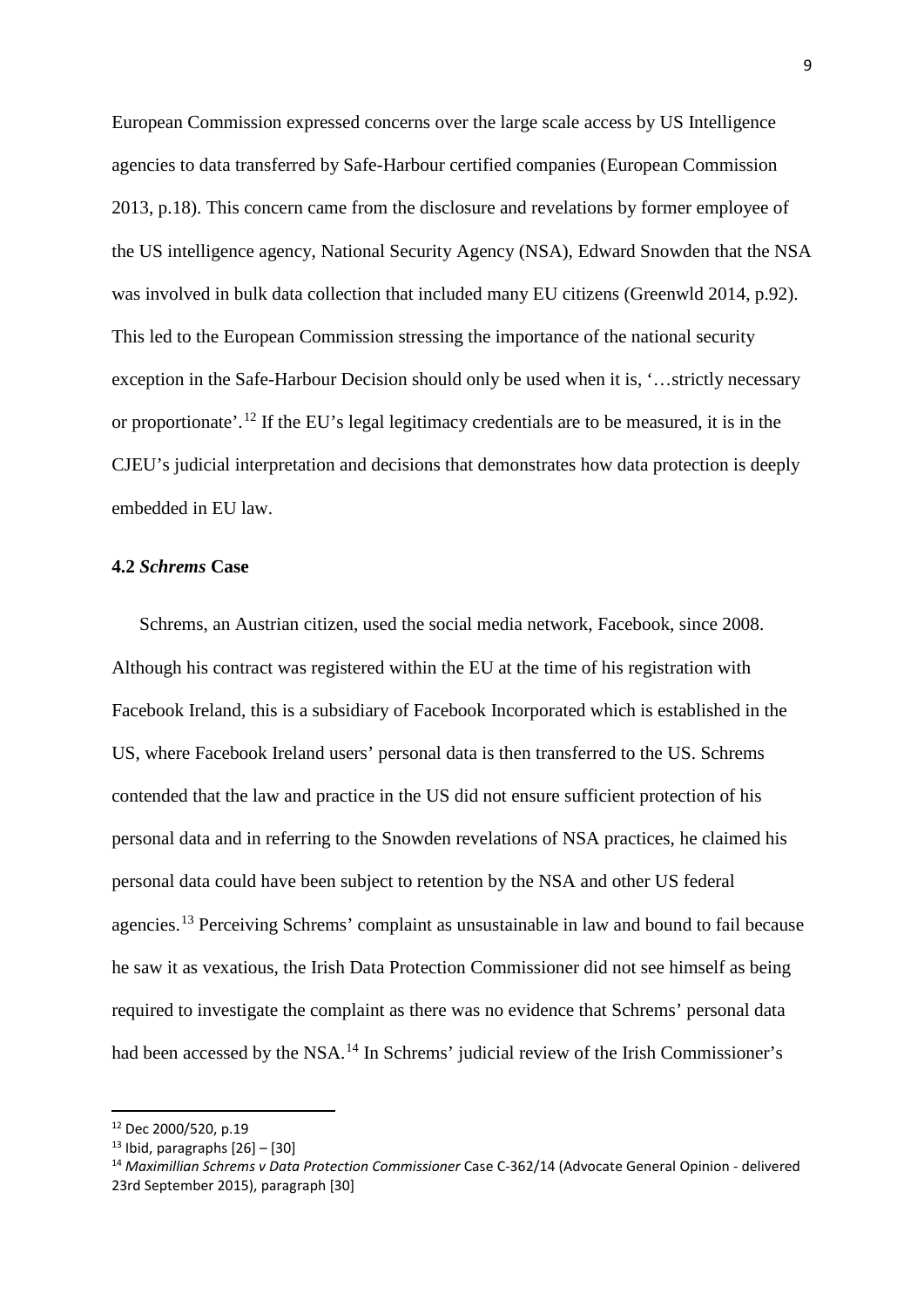European Commission expressed concerns over the large scale access by US Intelligence agencies to data transferred by Safe-Harbour certified companies (European Commission 2013, p.18). This concern came from the disclosure and revelations by former employee of the US intelligence agency, National Security Agency (NSA), Edward Snowden that the NSA was involved in bulk data collection that included many EU citizens (Greenwld 2014, p.92). This led to the European Commission stressing the importance of the national security exception in the Safe-Harbour Decision should only be used when it is, '…strictly necessary or proportionate'.[12](#page-9-0) If the EU's legal legitimacy credentials are to be measured, it is in the CJEU's judicial interpretation and decisions that demonstrates how data protection is deeply embedded in EU law.

#### **4.2** *Schrems* **Case**

Schrems, an Austrian citizen, used the social media network, Facebook, since 2008. Although his contract was registered within the EU at the time of his registration with Facebook Ireland, this is a subsidiary of Facebook Incorporated which is established in the US, where Facebook Ireland users' personal data is then transferred to the US. Schrems contended that the law and practice in the US did not ensure sufficient protection of his personal data and in referring to the Snowden revelations of NSA practices, he claimed his personal data could have been subject to retention by the NSA and other US federal agencies.[13](#page-9-1) Perceiving Schrems' complaint as unsustainable in law and bound to fail because he saw it as vexatious, the Irish Data Protection Commissioner did not see himself as being required to investigate the complaint as there was no evidence that Schrems' personal data had been accessed by the NSA.<sup>[14](#page-9-2)</sup> In Schrems' judicial review of the Irish Commissioner's

<span id="page-9-0"></span> <sup>12</sup> Dec 2000/520, p.19

<span id="page-9-1"></span> $13$  Ibid, paragraphs  $[26]$  –  $[30]$ 

<span id="page-9-2"></span><sup>14</sup> *Maximillian Schrems v Data Protection Commissioner* Case C-362/14 (Advocate General Opinion - delivered 23rd September 2015), paragraph [30]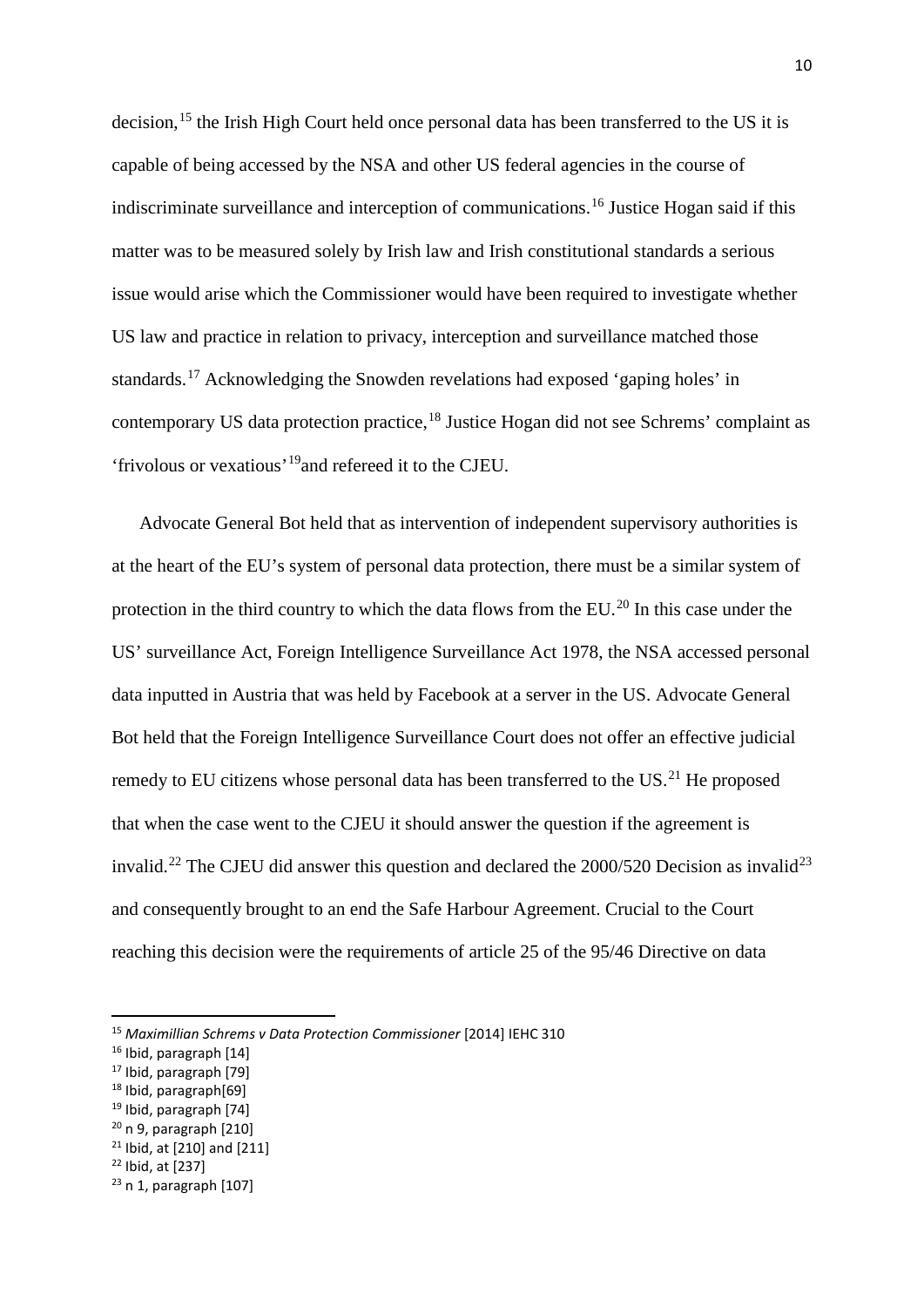decision,<sup>[15](#page-10-0)</sup> the Irish High Court held once personal data has been transferred to the US it is capable of being accessed by the NSA and other US federal agencies in the course of indiscriminate surveillance and interception of communications.<sup>[16](#page-10-1)</sup> Justice Hogan said if this matter was to be measured solely by Irish law and Irish constitutional standards a serious issue would arise which the Commissioner would have been required to investigate whether US law and practice in relation to privacy, interception and surveillance matched those standards.[17](#page-10-2) Acknowledging the Snowden revelations had exposed 'gaping holes' in contemporary US data protection practice,[18](#page-10-3) Justice Hogan did not see Schrems' complaint as 'frivolous or vexatious'[19](#page-10-4)and refereed it to the CJEU.

Advocate General Bot held that as intervention of independent supervisory authorities is at the heart of the EU's system of personal data protection, there must be a similar system of protection in the third country to which the data flows from the EU.<sup>[20](#page-10-5)</sup> In this case under the US' surveillance Act, Foreign Intelligence Surveillance Act 1978, the NSA accessed personal data inputted in Austria that was held by Facebook at a server in the US. Advocate General Bot held that the Foreign Intelligence Surveillance Court does not offer an effective judicial remedy to EU citizens whose personal data has been transferred to the US.<sup>[21](#page-10-6)</sup> He proposed that when the case went to the CJEU it should answer the question if the agreement is invalid.<sup>[22](#page-10-7)</sup> The CJEU did answer this question and declared the  $2000/520$  Decision as invalid<sup>[23](#page-10-8)</sup> and consequently brought to an end the Safe Harbour Agreement. Crucial to the Court reaching this decision were the requirements of article 25 of the 95/46 Directive on data

<span id="page-10-3"></span><sup>18</sup> Ibid, paragraph[69]

- <span id="page-10-5"></span> $20$  n 9, paragraph  $[210]$
- <span id="page-10-6"></span> $21$  Ibid, at [210] and [211]
- <span id="page-10-7"></span><sup>22</sup> Ibid, at [237]

<span id="page-10-0"></span> <sup>15</sup> *Maximillian Schrems v Data Protection Commissioner* [2014] IEHC 310

<span id="page-10-1"></span><sup>&</sup>lt;sup>16</sup> Ibid, paragraph [14]

<span id="page-10-2"></span><sup>17</sup> Ibid, paragraph [79]

<span id="page-10-4"></span><sup>19</sup> Ibid, paragraph [74]

<span id="page-10-8"></span> $23$  n 1, paragraph  $[107]$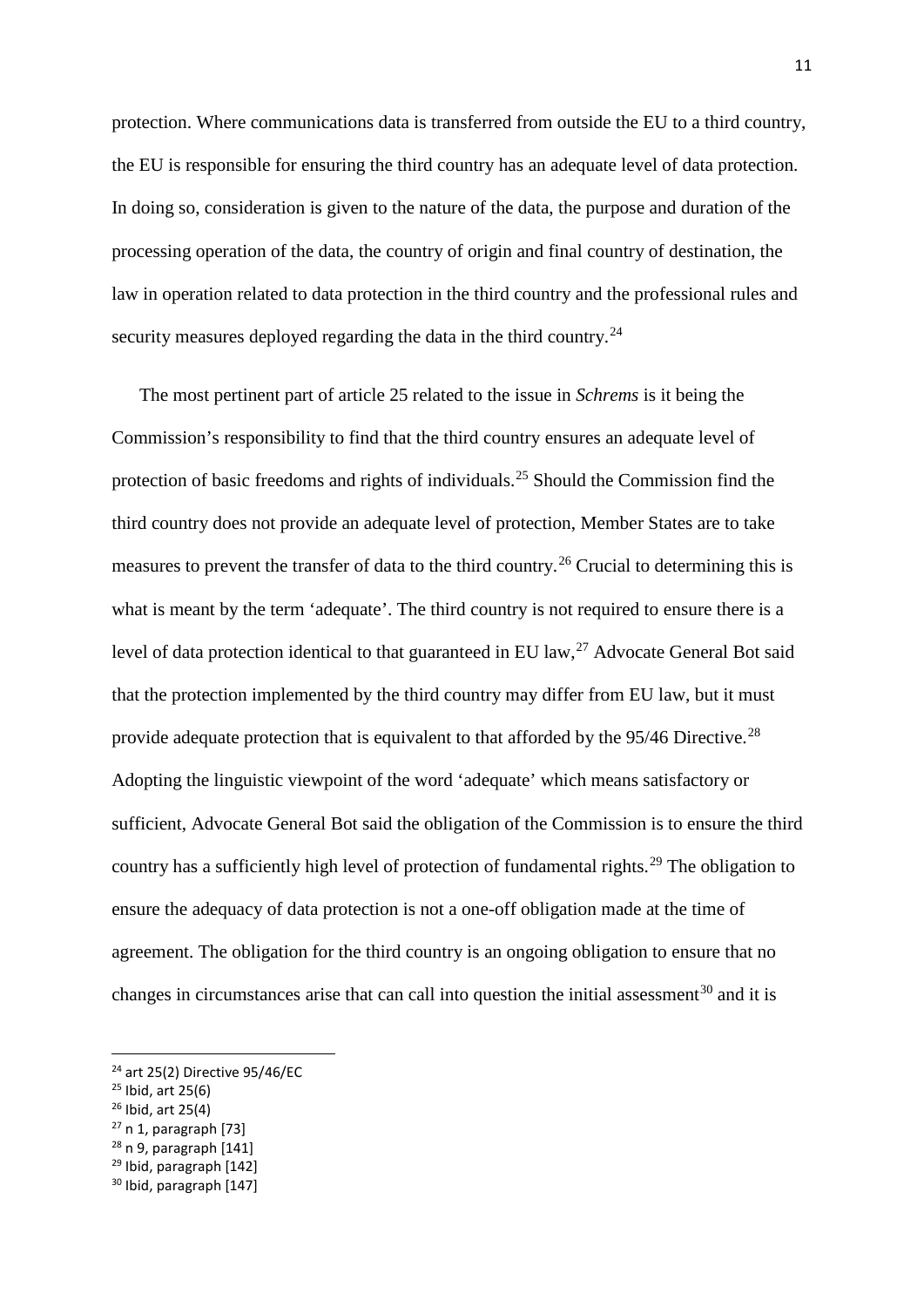protection. Where communications data is transferred from outside the EU to a third country, the EU is responsible for ensuring the third country has an adequate level of data protection. In doing so, consideration is given to the nature of the data, the purpose and duration of the processing operation of the data, the country of origin and final country of destination, the law in operation related to data protection in the third country and the professional rules and security measures deployed regarding the data in the third country.<sup>[24](#page-11-0)</sup>

The most pertinent part of article 25 related to the issue in *Schrems* is it being the Commission's responsibility to find that the third country ensures an adequate level of protection of basic freedoms and rights of individuals.[25](#page-11-1) Should the Commission find the third country does not provide an adequate level of protection, Member States are to take measures to prevent the transfer of data to the third country.[26](#page-11-2) Crucial to determining this is what is meant by the term 'adequate'. The third country is not required to ensure there is a level of data protection identical to that guaranteed in EU law,  $27$  Advocate General Bot said that the protection implemented by the third country may differ from EU law, but it must provide adequate protection that is equivalent to that afforded by the 95/46 Directive.<sup>[28](#page-11-4)</sup> Adopting the linguistic viewpoint of the word 'adequate' which means satisfactory or sufficient, Advocate General Bot said the obligation of the Commission is to ensure the third country has a sufficiently high level of protection of fundamental rights.<sup>[29](#page-11-5)</sup> The obligation to ensure the adequacy of data protection is not a one-off obligation made at the time of agreement. The obligation for the third country is an ongoing obligation to ensure that no changes in circumstances arise that can call into question the initial assessment<sup>[30](#page-11-6)</sup> and it is

- <span id="page-11-4"></span> $28$  n 9, paragraph  $[141]$
- <span id="page-11-5"></span><sup>29</sup> Ibid, paragraph [142]

<span id="page-11-0"></span> $24$  art 25(2) Directive 95/46/EC

<span id="page-11-1"></span> $25$  Ibid, art 25(6)

<span id="page-11-2"></span> $26$  Ibid, art 25(4)

<span id="page-11-3"></span> $27$  n 1, paragraph [73]

<span id="page-11-6"></span><sup>30</sup> Ibid, paragraph [147]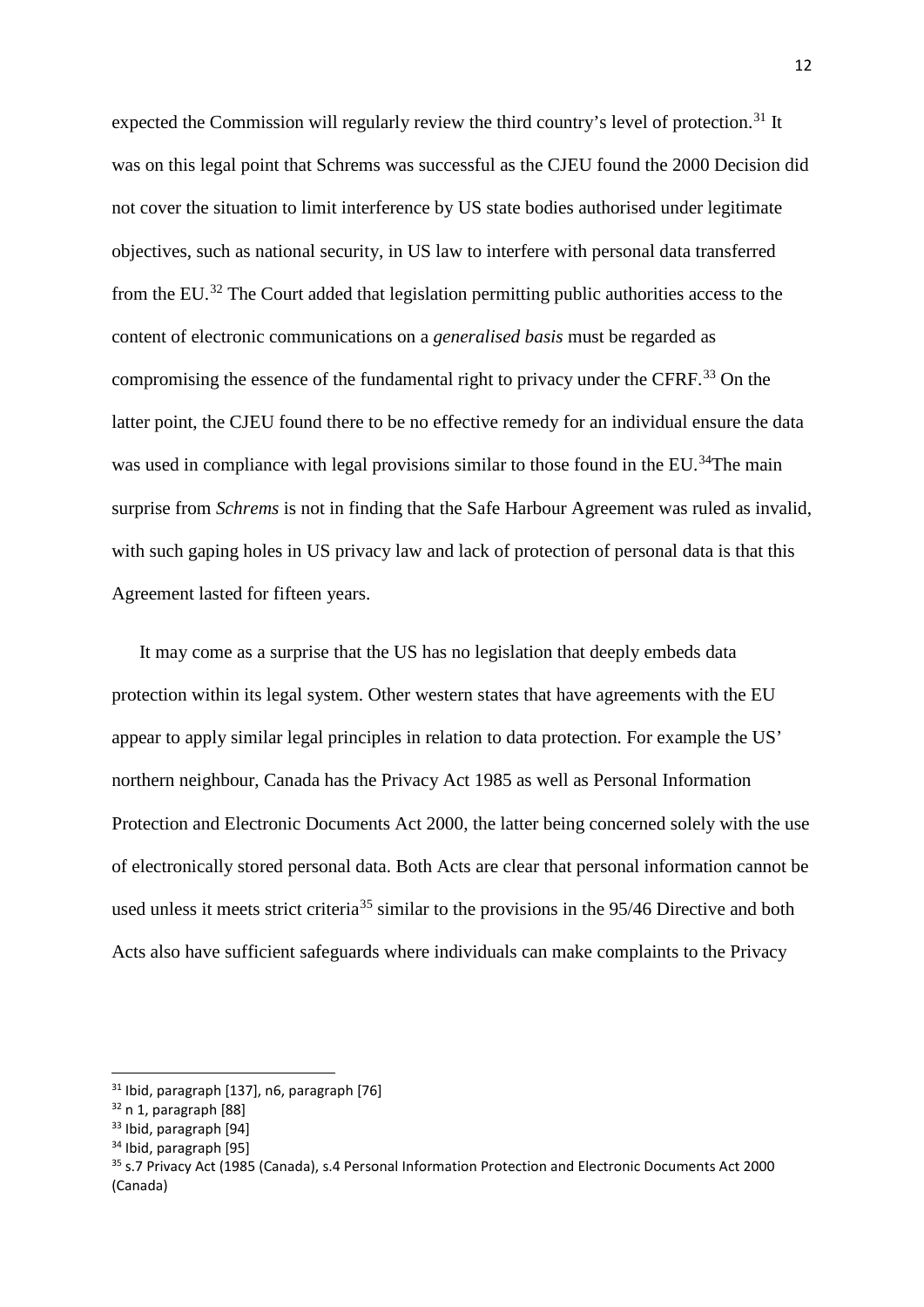expected the Commission will regularly review the third country's level of protection.<sup>[31](#page-12-0)</sup> It was on this legal point that Schrems was successful as the CJEU found the 2000 Decision did not cover the situation to limit interference by US state bodies authorised under legitimate objectives, such as national security, in US law to interfere with personal data transferred from the EU.[32](#page-12-1) The Court added that legislation permitting public authorities access to the content of electronic communications on a *generalised basis* must be regarded as compromising the essence of the fundamental right to privacy under the CFRF.<sup>[33](#page-12-2)</sup> On the latter point, the CJEU found there to be no effective remedy for an individual ensure the data was used in compliance with legal provisions similar to those found in the EU.<sup>34</sup>The main surprise from *Schrems* is not in finding that the Safe Harbour Agreement was ruled as invalid, with such gaping holes in US privacy law and lack of protection of personal data is that this Agreement lasted for fifteen years.

It may come as a surprise that the US has no legislation that deeply embeds data protection within its legal system. Other western states that have agreements with the EU appear to apply similar legal principles in relation to data protection. For example the US' northern neighbour, Canada has the Privacy Act 1985 as well as Personal Information Protection and Electronic Documents Act 2000, the latter being concerned solely with the use of electronically stored personal data. Both Acts are clear that personal information cannot be used unless it meets strict criteria<sup>[35](#page-12-4)</sup> similar to the provisions in the 95/46 Directive and both Acts also have sufficient safeguards where individuals can make complaints to the Privacy

<span id="page-12-0"></span> $31$  Ibid, paragraph [137], n6, paragraph [76]

<span id="page-12-1"></span> $32$  n 1, paragraph [88]

<span id="page-12-2"></span><sup>33</sup> Ibid, paragraph [94]

<span id="page-12-3"></span><sup>&</sup>lt;sup>34</sup> Ibid, paragraph [95]

<span id="page-12-4"></span><sup>35</sup> s.7 Privacy Act (1985 (Canada), s.4 Personal Information Protection and Electronic Documents Act 2000 (Canada)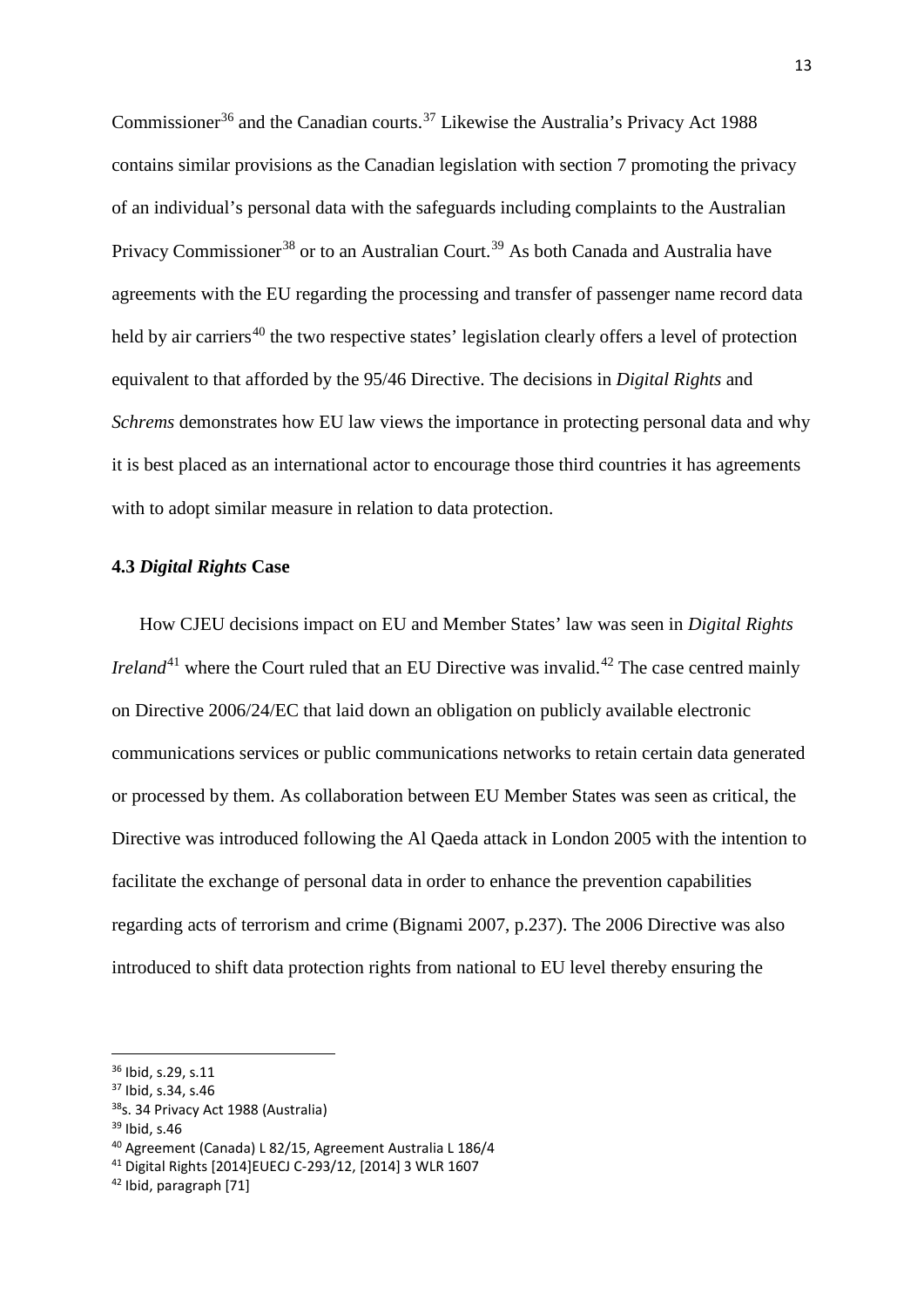Commissioner<sup>[36](#page-13-0)</sup> and the Canadian courts.<sup>[37](#page-13-1)</sup> Likewise the Australia's Privacy Act 1988 contains similar provisions as the Canadian legislation with section 7 promoting the privacy of an individual's personal data with the safeguards including complaints to the Australian Privacy Commissioner<sup>[38](#page-13-2)</sup> or to an Australian Court.<sup>[39](#page-13-3)</sup> As both Canada and Australia have agreements with the EU regarding the processing and transfer of passenger name record data held by air carriers<sup>[40](#page-13-4)</sup> the two respective states' legislation clearly offers a level of protection equivalent to that afforded by the 95/46 Directive. The decisions in *Digital Rights* and *Schrems* demonstrates how EU law views the importance in protecting personal data and why it is best placed as an international actor to encourage those third countries it has agreements with to adopt similar measure in relation to data protection.

#### **4.3** *Digital Rights* **Case**

How CJEU decisions impact on EU and Member States' law was seen in *Digital Rights Ireland*<sup>[41](#page-13-5)</sup> where the Court ruled that an EU Directive was invalid.<sup>[42](#page-13-6)</sup> The case centred mainly on Directive 2006/24/EC that laid down an obligation on publicly available electronic communications services or public communications networks to retain certain data generated or processed by them. As collaboration between EU Member States was seen as critical, the Directive was introduced following the Al Qaeda attack in London 2005 with the intention to facilitate the exchange of personal data in order to enhance the prevention capabilities regarding acts of terrorism and crime (Bignami 2007, p.237). The 2006 Directive was also introduced to shift data protection rights from national to EU level thereby ensuring the

<span id="page-13-0"></span> <sup>36</sup> Ibid, s.29, s.11

<span id="page-13-1"></span><sup>37</sup> Ibid, s.34, s.46

<span id="page-13-2"></span><sup>38&</sup>lt;sub>S</sub>. 34 Privacy Act 1988 (Australia)

<span id="page-13-3"></span><sup>39</sup> Ibid, s.46

<span id="page-13-4"></span><sup>40</sup> Agreement (Canada) L 82/15, Agreement Australia L 186/4

<span id="page-13-5"></span><sup>41</sup> Digital Rights [2014]EUECJ C-293/12, [2014] 3 WLR 1607

<span id="page-13-6"></span><sup>42</sup> Ibid, paragraph [71]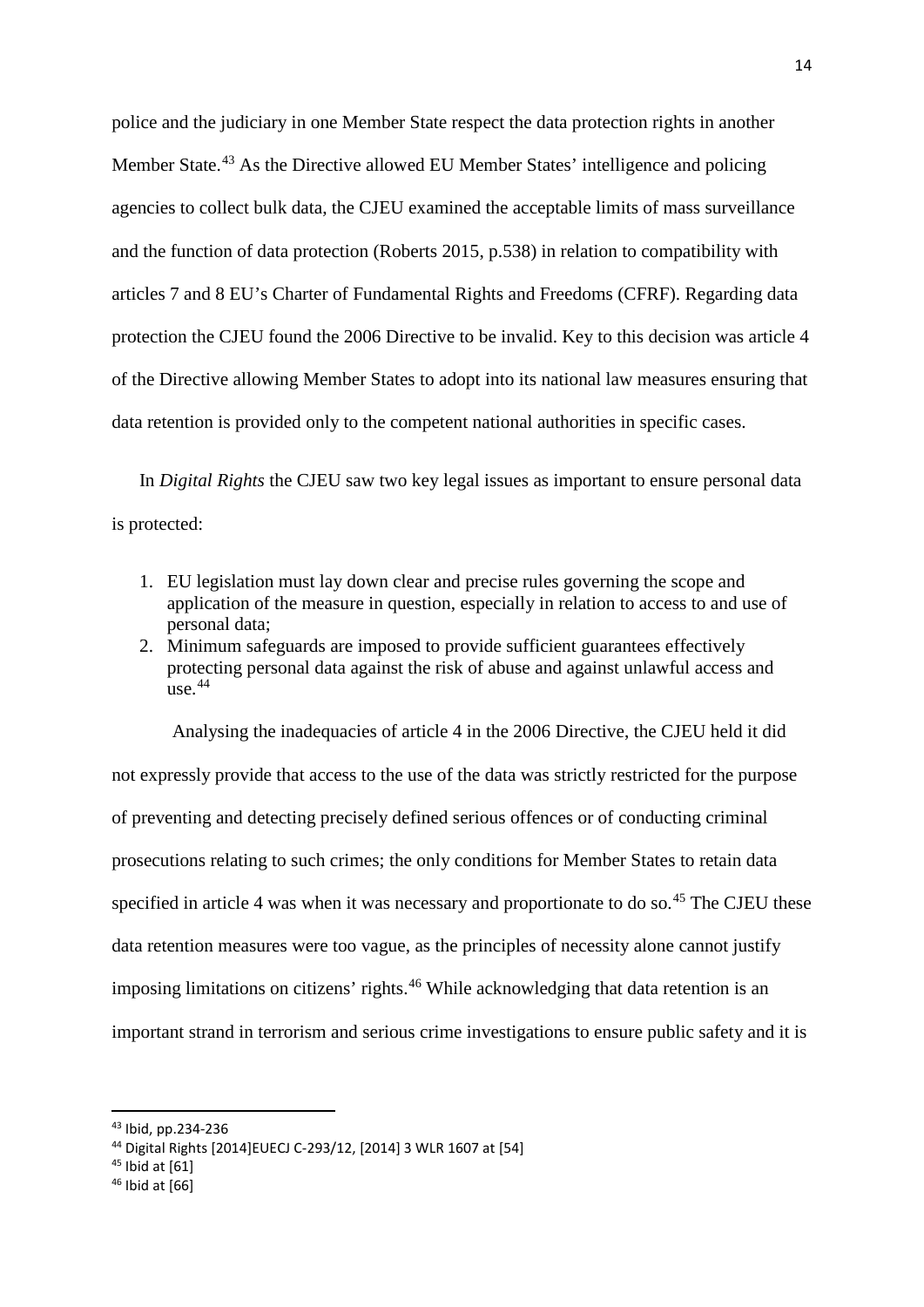police and the judiciary in one Member State respect the data protection rights in another Member State.<sup>[43](#page-14-0)</sup> As the Directive allowed EU Member States' intelligence and policing agencies to collect bulk data, the CJEU examined the acceptable limits of mass surveillance and the function of data protection (Roberts 2015, p.538) in relation to compatibility with articles 7 and 8 EU's Charter of Fundamental Rights and Freedoms (CFRF). Regarding data protection the CJEU found the 2006 Directive to be invalid. Key to this decision was article 4 of the Directive allowing Member States to adopt into its national law measures ensuring that data retention is provided only to the competent national authorities in specific cases.

In *Digital Rights* the CJEU saw two key legal issues as important to ensure personal data is protected:

- 1. EU legislation must lay down clear and precise rules governing the scope and application of the measure in question, especially in relation to access to and use of personal data;
- 2. Minimum safeguards are imposed to provide sufficient guarantees effectively protecting personal data against the risk of abuse and against unlawful access and use.[44](#page-14-1)

Analysing the inadequacies of article 4 in the 2006 Directive, the CJEU held it did not expressly provide that access to the use of the data was strictly restricted for the purpose of preventing and detecting precisely defined serious offences or of conducting criminal prosecutions relating to such crimes; the only conditions for Member States to retain data specified in article 4 was when it was necessary and proportionate to do so.<sup>[45](#page-14-2)</sup> The CJEU these data retention measures were too vague, as the principles of necessity alone cannot justify imposing limitations on citizens' rights.<sup>[46](#page-14-3)</sup> While acknowledging that data retention is an important strand in terrorism and serious crime investigations to ensure public safety and it is

<span id="page-14-0"></span> <sup>43</sup> Ibid, pp.234-236

<span id="page-14-1"></span><sup>44</sup> Digital Rights [2014]EUECJ C-293/12, [2014] 3 WLR 1607 at [54]

<span id="page-14-2"></span> $45$  Ibid at [61]

<span id="page-14-3"></span> $46$  Ibid at  $[66]$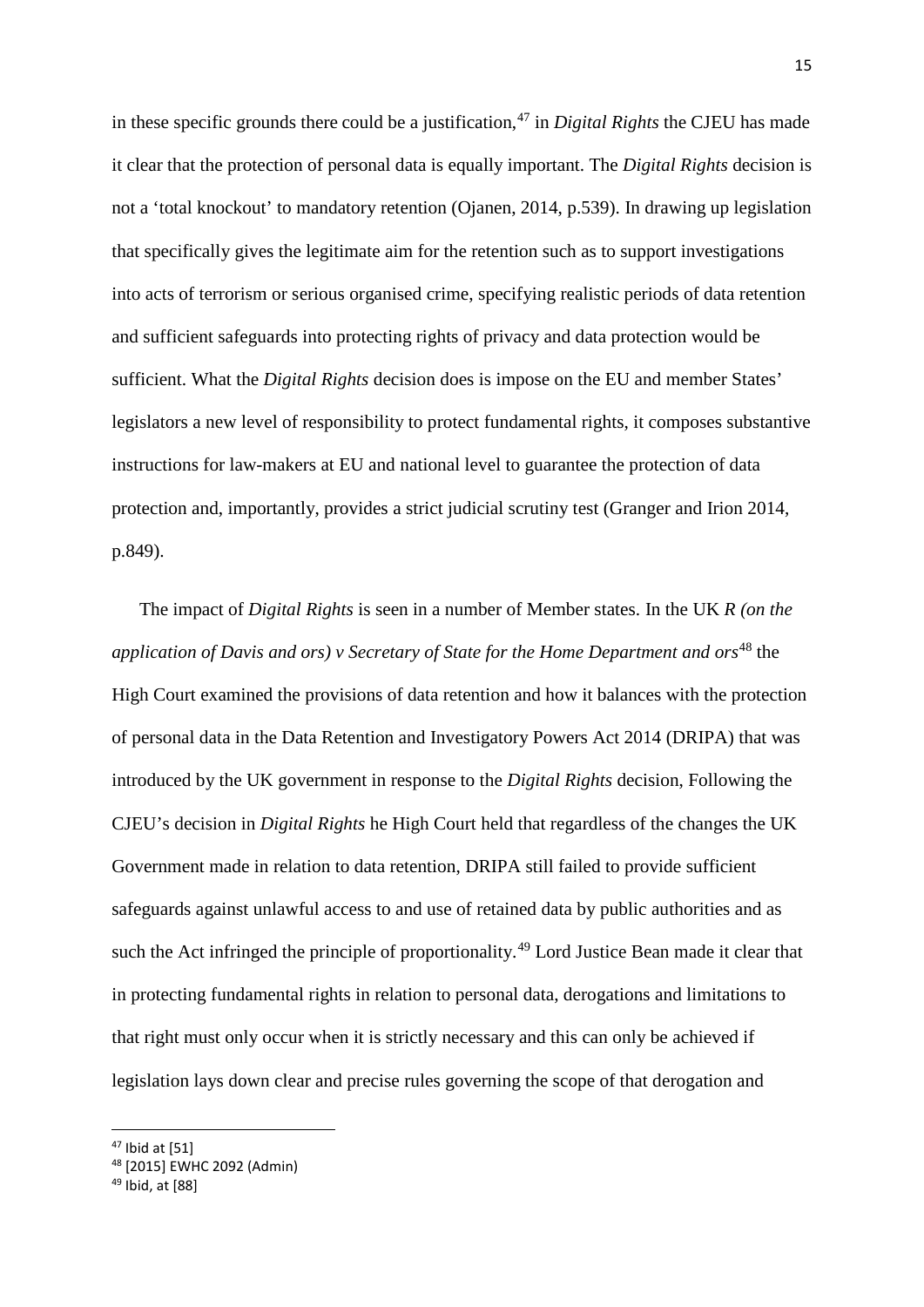in these specific grounds there could be a justification,<sup>[47](#page-15-0)</sup> in *Digital Rights* the CJEU has made it clear that the protection of personal data is equally important. The *Digital Rights* decision is not a 'total knockout' to mandatory retention (Ojanen, 2014, p.539). In drawing up legislation that specifically gives the legitimate aim for the retention such as to support investigations into acts of terrorism or serious organised crime, specifying realistic periods of data retention and sufficient safeguards into protecting rights of privacy and data protection would be sufficient. What the *Digital Rights* decision does is impose on the EU and member States' legislators a new level of responsibility to protect fundamental rights, it composes substantive instructions for law-makers at EU and national level to guarantee the protection of data protection and, importantly, provides a strict judicial scrutiny test (Granger and Irion 2014, p.849).

The impact of *Digital Rights* is seen in a number of Member states. In the UK *R (on the application of Davis and ors) v Secretary of State for the Home Department and ors*<sup>[48](#page-15-1)</sup> the High Court examined the provisions of data retention and how it balances with the protection of personal data in the Data Retention and Investigatory Powers Act 2014 (DRIPA) that was introduced by the UK government in response to the *Digital Rights* decision, Following the CJEU's decision in *Digital Rights* he High Court held that regardless of the changes the UK Government made in relation to data retention, DRIPA still failed to provide sufficient safeguards against unlawful access to and use of retained data by public authorities and as such the Act infringed the principle of proportionality.<sup>[49](#page-15-2)</sup> Lord Justice Bean made it clear that in protecting fundamental rights in relation to personal data, derogations and limitations to that right must only occur when it is strictly necessary and this can only be achieved if legislation lays down clear and precise rules governing the scope of that derogation and

<span id="page-15-0"></span> $47$  Ibid at [51]

<span id="page-15-1"></span><sup>48</sup> [2015] EWHC 2092 (Admin)

<span id="page-15-2"></span><sup>49</sup> Ibid, at [88]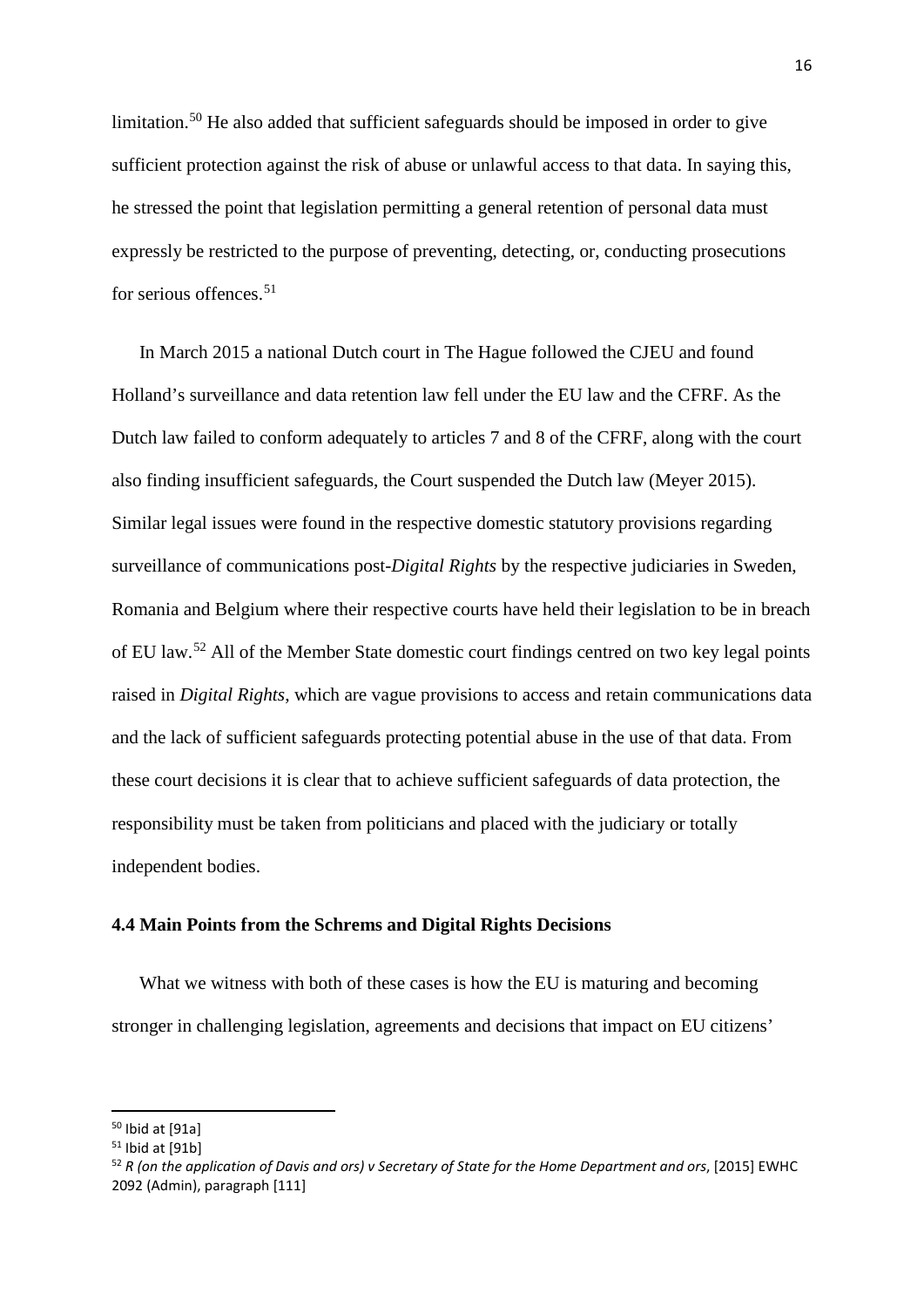limitation.<sup>[50](#page-16-0)</sup> He also added that sufficient safeguards should be imposed in order to give sufficient protection against the risk of abuse or unlawful access to that data. In saying this, he stressed the point that legislation permitting a general retention of personal data must expressly be restricted to the purpose of preventing, detecting, or, conducting prosecutions for serious offences.<sup>[51](#page-16-1)</sup>

In March 2015 a national Dutch court in The Hague followed the CJEU and found Holland's surveillance and data retention law fell under the EU law and the CFRF. As the Dutch law failed to conform adequately to articles 7 and 8 of the CFRF, along with the court also finding insufficient safeguards, the Court suspended the Dutch law (Meyer 2015). Similar legal issues were found in the respective domestic statutory provisions regarding surveillance of communications post-*Digital Rights* by the respective judiciaries in Sweden, Romania and Belgium where their respective courts have held their legislation to be in breach of EU law.[52](#page-16-2) All of the Member State domestic court findings centred on two key legal points raised in *Digital Rights*, which are vague provisions to access and retain communications data and the lack of sufficient safeguards protecting potential abuse in the use of that data. From these court decisions it is clear that to achieve sufficient safeguards of data protection, the responsibility must be taken from politicians and placed with the judiciary or totally independent bodies.

#### **4.4 Main Points from the Schrems and Digital Rights Decisions**

What we witness with both of these cases is how the EU is maturing and becoming stronger in challenging legislation, agreements and decisions that impact on EU citizens'

<span id="page-16-0"></span> <sup>50</sup> Ibid at [91a]

<span id="page-16-1"></span> $51$  Ibid at [91b]

<span id="page-16-2"></span><sup>52</sup> *R (on the application of Davis and ors) v Secretary of State for the Home Department and ors*, [2015] EWHC 2092 (Admin), paragraph [111]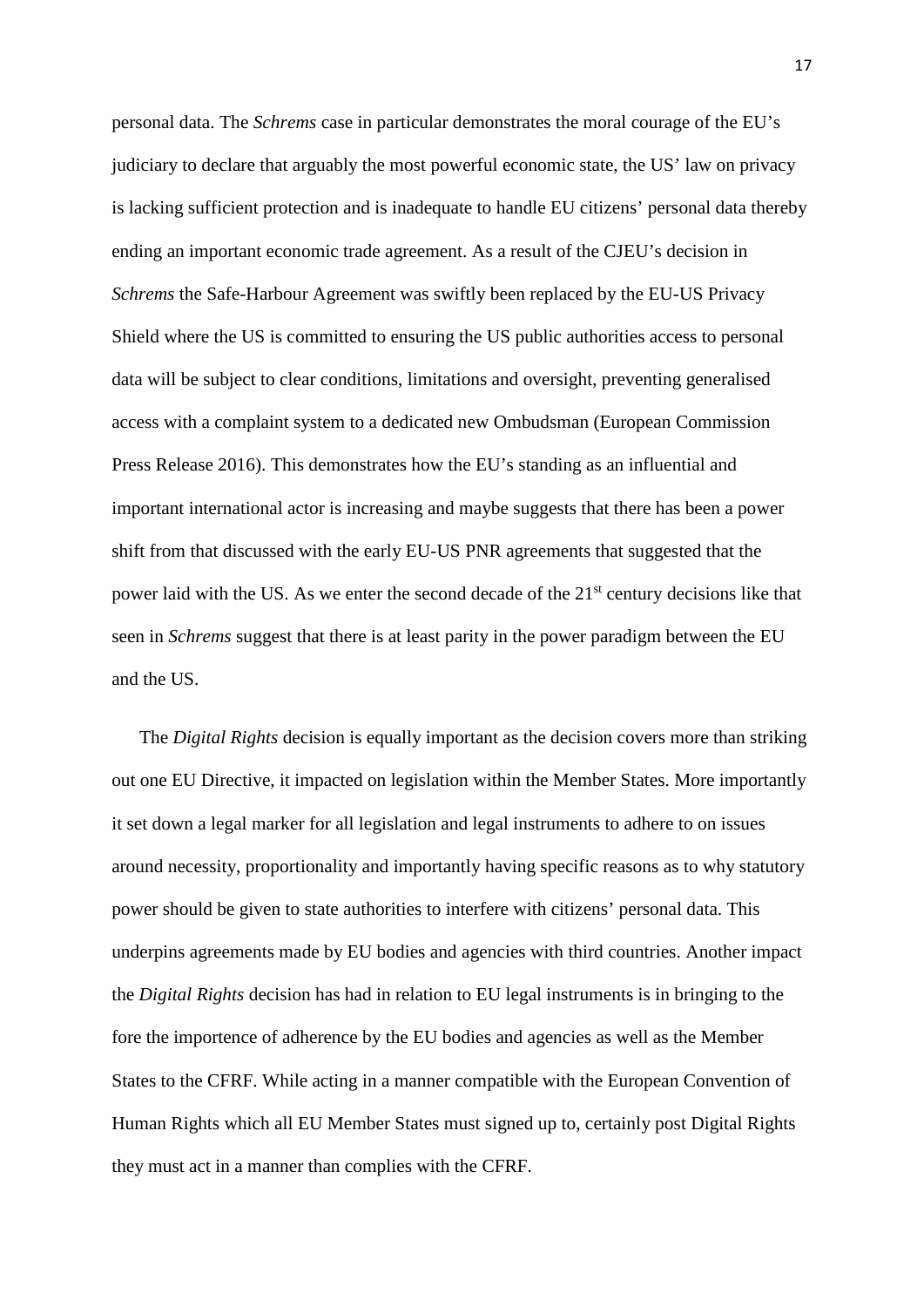personal data. The *Schrems* case in particular demonstrates the moral courage of the EU's judiciary to declare that arguably the most powerful economic state, the US' law on privacy is lacking sufficient protection and is inadequate to handle EU citizens' personal data thereby ending an important economic trade agreement. As a result of the CJEU's decision in *Schrems* the Safe-Harbour Agreement was swiftly been replaced by the EU-US Privacy Shield where the US is committed to ensuring the US public authorities access to personal data will be subject to clear conditions, limitations and oversight, preventing generalised access with a complaint system to a dedicated new Ombudsman (European Commission Press Release 2016). This demonstrates how the EU's standing as an influential and important international actor is increasing and maybe suggests that there has been a power shift from that discussed with the early EU-US PNR agreements that suggested that the power laid with the US. As we enter the second decade of the  $21<sup>st</sup>$  century decisions like that seen in *Schrems* suggest that there is at least parity in the power paradigm between the EU and the US.

The *Digital Rights* decision is equally important as the decision covers more than striking out one EU Directive, it impacted on legislation within the Member States. More importantly it set down a legal marker for all legislation and legal instruments to adhere to on issues around necessity, proportionality and importantly having specific reasons as to why statutory power should be given to state authorities to interfere with citizens' personal data. This underpins agreements made by EU bodies and agencies with third countries. Another impact the *Digital Rights* decision has had in relation to EU legal instruments is in bringing to the fore the importence of adherence by the EU bodies and agencies as well as the Member States to the CFRF. While acting in a manner compatible with the European Convention of Human Rights which all EU Member States must signed up to, certainly post Digital Rights they must act in a manner than complies with the CFRF.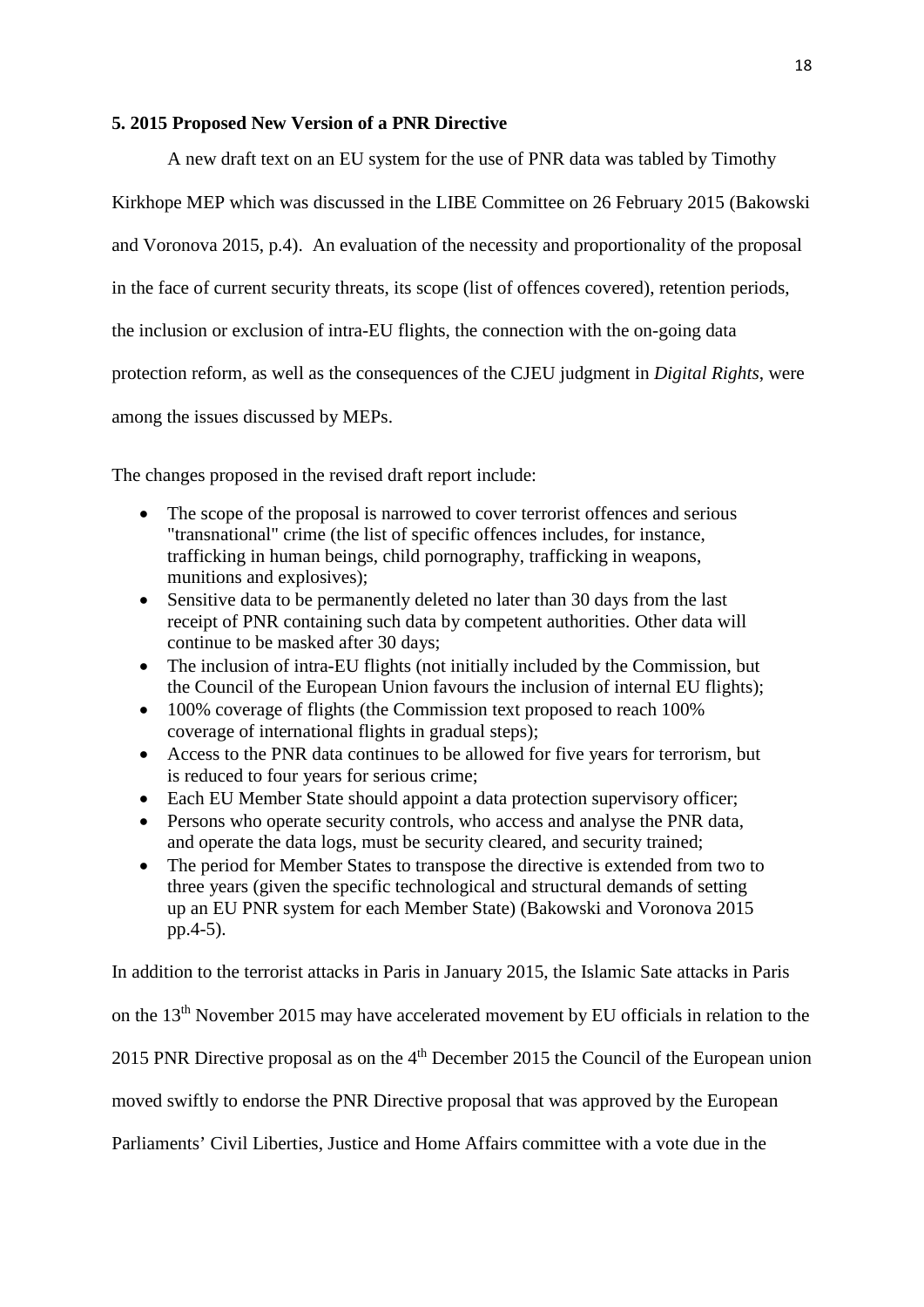#### **5. 2015 Proposed New Version of a PNR Directive**

A new draft text on an EU system for the use of PNR data was tabled by Timothy

Kirkhope MEP which was discussed in the LIBE Committee on 26 February 2015 (Bakowski and Voronova 2015, p.4). An evaluation of the necessity and proportionality of the proposal in the face of current security threats, its scope (list of offences covered), retention periods, the inclusion or exclusion of intra-EU flights, the connection with the on-going data protection reform, as well as the consequences of the CJEU judgment in *Digital Rights*, were among the issues discussed by MEPs.

The changes proposed in the revised draft report include:

- The scope of the proposal is narrowed to cover terrorist offences and serious "transnational" crime (the list of specific offences includes, for instance, trafficking in human beings, child pornography, trafficking in weapons, munitions and explosives);
- Sensitive data to be permanently deleted no later than 30 days from the last receipt of PNR containing such data by competent authorities. Other data will continue to be masked after 30 days;
- The inclusion of intra-EU flights (not initially included by the Commission, but the Council of the European Union favours the inclusion of internal EU flights);
- 100% coverage of flights (the Commission text proposed to reach 100%) coverage of international flights in gradual steps);
- Access to the PNR data continues to be allowed for five years for terrorism, but is reduced to four years for serious crime;
- Each EU Member State should appoint a data protection supervisory officer;
- Persons who operate security controls, who access and analyse the PNR data, and operate the data logs, must be security cleared, and security trained;
- The period for Member States to transpose the directive is extended from two to three years (given the specific technological and structural demands of setting up an EU PNR system for each Member State) (Bakowski and Voronova 2015 pp.4-5).

In addition to the terrorist attacks in Paris in January 2015, the Islamic Sate attacks in Paris

on the 13th November 2015 may have accelerated movement by EU officials in relation to the

2015 PNR Directive proposal as on the  $4<sup>th</sup>$  December 2015 the Council of the European union

moved swiftly to endorse the PNR Directive proposal that was approved by the European

Parliaments' Civil Liberties, Justice and Home Affairs committee with a vote due in the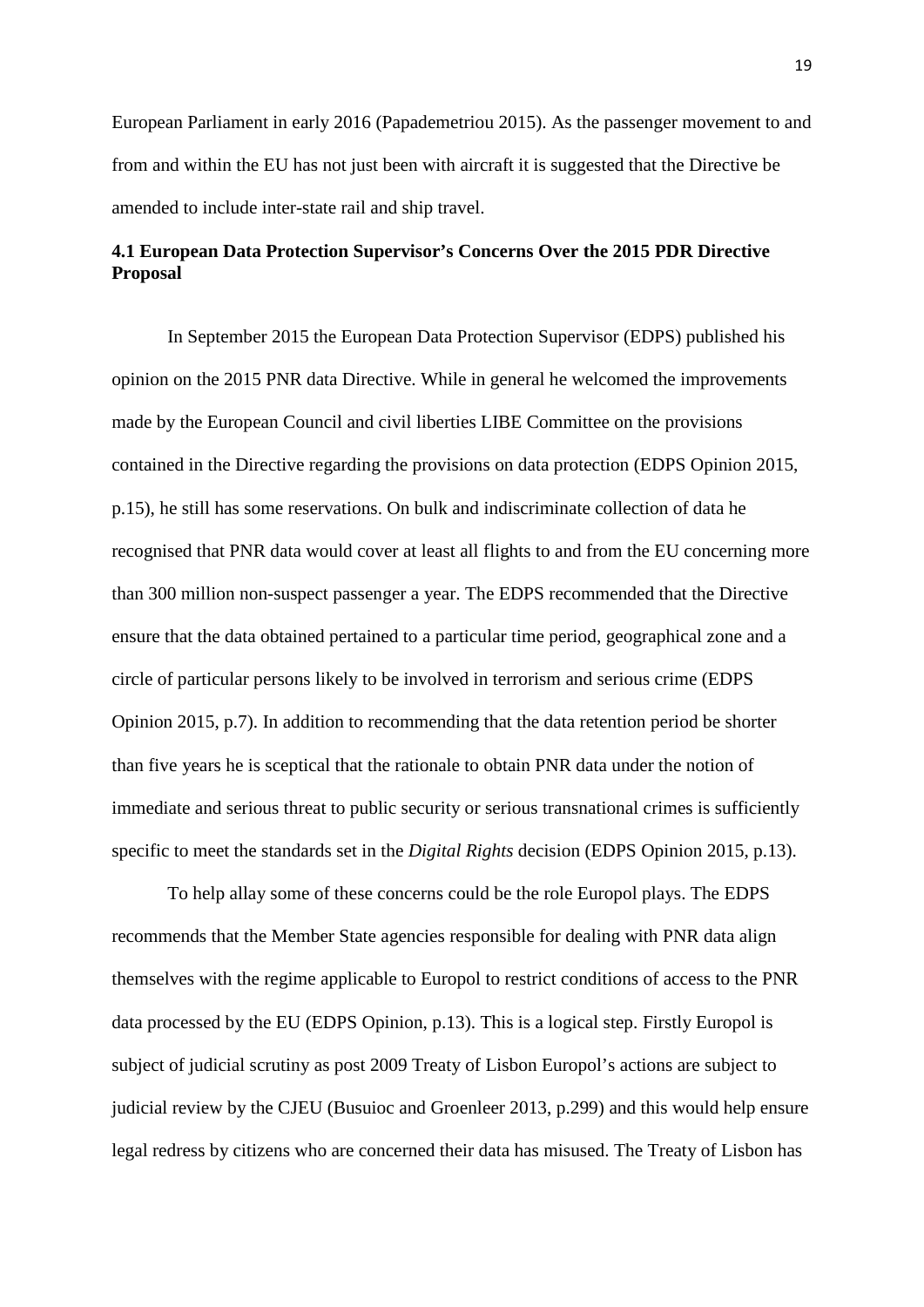European Parliament in early 2016 (Papademetriou 2015). As the passenger movement to and from and within the EU has not just been with aircraft it is suggested that the Directive be amended to include inter-state rail and ship travel.

## **4.1 European Data Protection Supervisor's Concerns Over the 2015 PDR Directive Proposal**

In September 2015 the European Data Protection Supervisor (EDPS) published his opinion on the 2015 PNR data Directive. While in general he welcomed the improvements made by the European Council and civil liberties LIBE Committee on the provisions contained in the Directive regarding the provisions on data protection (EDPS Opinion 2015, p.15), he still has some reservations. On bulk and indiscriminate collection of data he recognised that PNR data would cover at least all flights to and from the EU concerning more than 300 million non-suspect passenger a year. The EDPS recommended that the Directive ensure that the data obtained pertained to a particular time period, geographical zone and a circle of particular persons likely to be involved in terrorism and serious crime (EDPS Opinion 2015, p.7). In addition to recommending that the data retention period be shorter than five years he is sceptical that the rationale to obtain PNR data under the notion of immediate and serious threat to public security or serious transnational crimes is sufficiently specific to meet the standards set in the *Digital Rights* decision (EDPS Opinion 2015, p.13).

To help allay some of these concerns could be the role Europol plays. The EDPS recommends that the Member State agencies responsible for dealing with PNR data align themselves with the regime applicable to Europol to restrict conditions of access to the PNR data processed by the EU (EDPS Opinion, p.13). This is a logical step. Firstly Europol is subject of judicial scrutiny as post 2009 Treaty of Lisbon Europol's actions are subject to judicial review by the CJEU (Busuioc and Groenleer 2013, p.299) and this would help ensure legal redress by citizens who are concerned their data has misused. The Treaty of Lisbon has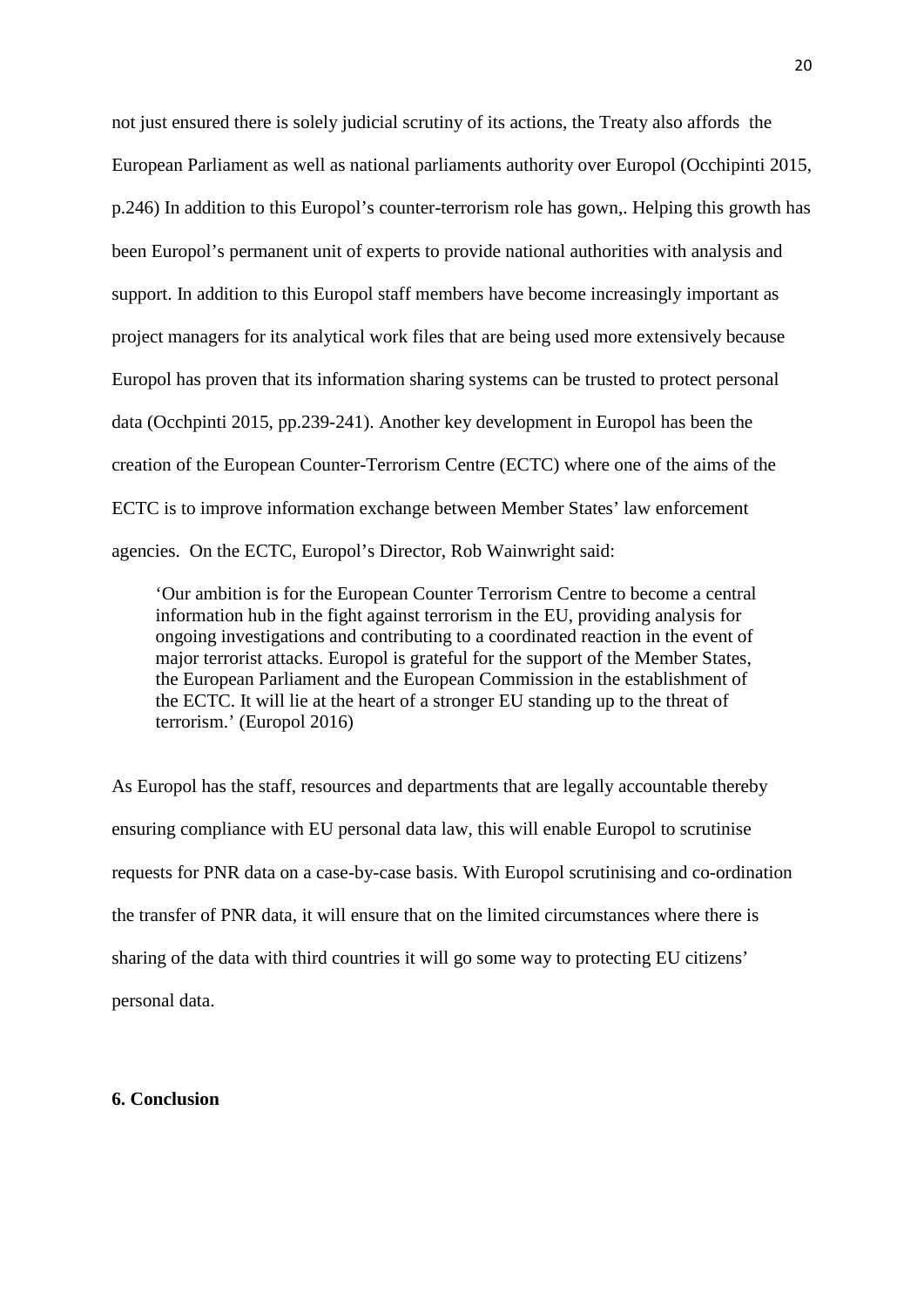not just ensured there is solely judicial scrutiny of its actions, the Treaty also affords the European Parliament as well as national parliaments authority over Europol (Occhipinti 2015, p.246) In addition to this Europol's counter-terrorism role has gown,. Helping this growth has been Europol's permanent unit of experts to provide national authorities with analysis and support. In addition to this Europol staff members have become increasingly important as project managers for its analytical work files that are being used more extensively because Europol has proven that its information sharing systems can be trusted to protect personal data (Occhpinti 2015, pp.239-241). Another key development in Europol has been the creation of the European Counter-Terrorism Centre (ECTC) where one of the aims of the ECTC is to improve information exchange between Member States' law enforcement agencies. On the ECTC, Europol's Director, Rob Wainwright said:

'Our ambition is for the European Counter Terrorism Centre to become a central information hub in the fight against terrorism in the EU, providing analysis for ongoing investigations and contributing to a coordinated reaction in the event of major terrorist attacks. Europol is grateful for the support of the Member States, the European Parliament and the European Commission in the establishment of the ECTC. It will lie at the heart of a stronger EU standing up to the threat of terrorism.' (Europol 2016)

As Europol has the staff, resources and departments that are legally accountable thereby ensuring compliance with EU personal data law, this will enable Europol to scrutinise requests for PNR data on a case-by-case basis. With Europol scrutinising and co-ordination the transfer of PNR data, it will ensure that on the limited circumstances where there is sharing of the data with third countries it will go some way to protecting EU citizens' personal data.

#### **6. Conclusion**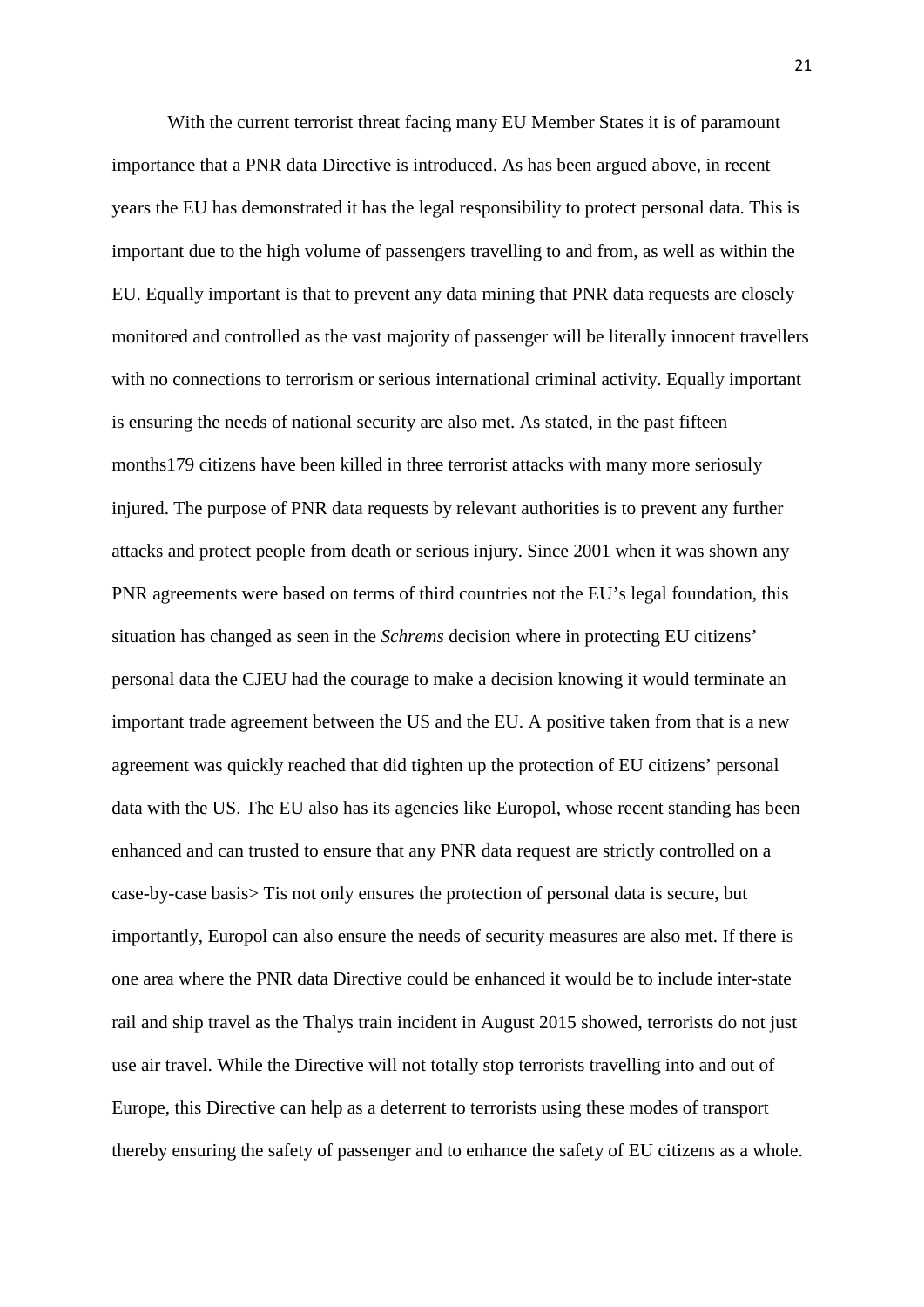With the current terrorist threat facing many EU Member States it is of paramount importance that a PNR data Directive is introduced. As has been argued above, in recent years the EU has demonstrated it has the legal responsibility to protect personal data. This is important due to the high volume of passengers travelling to and from, as well as within the EU. Equally important is that to prevent any data mining that PNR data requests are closely monitored and controlled as the vast majority of passenger will be literally innocent travellers with no connections to terrorism or serious international criminal activity. Equally important is ensuring the needs of national security are also met. As stated, in the past fifteen months179 citizens have been killed in three terrorist attacks with many more seriosuly injured. The purpose of PNR data requests by relevant authorities is to prevent any further attacks and protect people from death or serious injury. Since 2001 when it was shown any PNR agreements were based on terms of third countries not the EU's legal foundation, this situation has changed as seen in the *Schrems* decision where in protecting EU citizens' personal data the CJEU had the courage to make a decision knowing it would terminate an important trade agreement between the US and the EU. A positive taken from that is a new agreement was quickly reached that did tighten up the protection of EU citizens' personal data with the US. The EU also has its agencies like Europol, whose recent standing has been enhanced and can trusted to ensure that any PNR data request are strictly controlled on a case-by-case basis> Tis not only ensures the protection of personal data is secure, but importantly, Europol can also ensure the needs of security measures are also met. If there is one area where the PNR data Directive could be enhanced it would be to include inter-state rail and ship travel as the Thalys train incident in August 2015 showed, terrorists do not just use air travel. While the Directive will not totally stop terrorists travelling into and out of Europe, this Directive can help as a deterrent to terrorists using these modes of transport thereby ensuring the safety of passenger and to enhance the safety of EU citizens as a whole.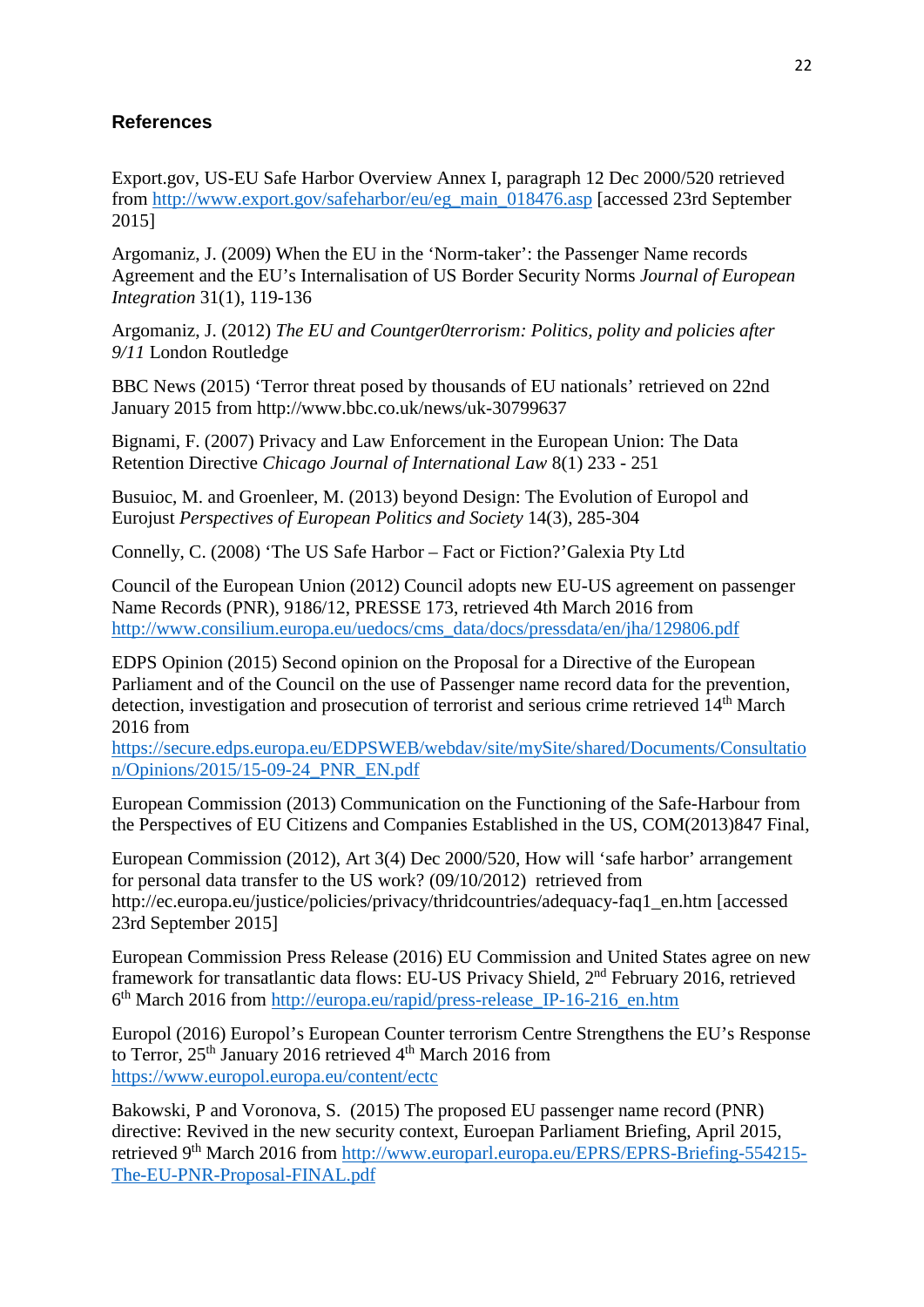### **References**

Export.gov, US-EU Safe Harbor Overview Annex I, paragraph 12 Dec 2000/520 retrieved from [http://www.export.gov/safeharbor/eu/eg\\_main\\_018476.asp](http://www.export.gov/safeharbor/eu/eg_main_018476.asp) [accessed 23rd September 2015]

Argomaniz, J. (2009) When the EU in the 'Norm-taker': the Passenger Name records Agreement and the EU's Internalisation of US Border Security Norms *Journal of European Integration* 31(1), 119-136

Argomaniz, J. (2012) *The EU and Countger0terrorism: Politics, polity and policies after 9/11* London Routledge

BBC News (2015) 'Terror threat posed by thousands of EU nationals' retrieved on 22nd January 2015 from http://www.bbc.co.uk/news/uk-30799637

Bignami, F. (2007) Privacy and Law Enforcement in the European Union: The Data Retention Directive *Chicago Journal of International Law* 8(1) 233 - 251

Busuioc, M. and Groenleer, M. (2013) beyond Design: The Evolution of Europol and Eurojust *Perspectives of European Politics and Society* 14(3), 285-304

Connelly, C. (2008) 'The US Safe Harbor – Fact or Fiction?'Galexia Pty Ltd

Council of the European Union (2012) Council adopts new EU-US agreement on passenger Name Records (PNR), 9186/12, PRESSE 173, retrieved 4th March 2016 from [http://www.consilium.europa.eu/uedocs/cms\\_data/docs/pressdata/en/jha/129806.pdf](http://www.consilium.europa.eu/uedocs/cms_data/docs/pressdata/en/jha/129806.pdf)

EDPS Opinion (2015) Second opinion on the Proposal for a Directive of the European Parliament and of the Council on the use of Passenger name record data for the prevention, detection, investigation and prosecution of terrorist and serious crime retrieved 14<sup>th</sup> March 2016 from

[https://secure.edps.europa.eu/EDPSWEB/webdav/site/mySite/shared/Documents/Consultatio](https://secure.edps.europa.eu/EDPSWEB/webdav/site/mySite/shared/Documents/Consultation/Opinions/2015/15-09-24_PNR_EN.pdf) [n/Opinions/2015/15-09-24\\_PNR\\_EN.pdf](https://secure.edps.europa.eu/EDPSWEB/webdav/site/mySite/shared/Documents/Consultation/Opinions/2015/15-09-24_PNR_EN.pdf)

European Commission (2013) Communication on the Functioning of the Safe-Harbour from the Perspectives of EU Citizens and Companies Established in the US, COM(2013)847 Final,

European Commission (2012), Art 3(4) Dec 2000/520, How will 'safe harbor' arrangement for personal data transfer to the US work? (09/10/2012) retrieved from http://ec.europa.eu/justice/policies/privacy/thridcountries/adequacy-faq1\_en.htm [accessed 23rd September 2015]

European Commission Press Release (2016) EU Commission and United States agree on new framework for transatlantic data flows: EU-US Privacy Shield, 2nd February 2016, retrieved 6th March 2016 from [http://europa.eu/rapid/press-release\\_IP-16-216\\_en.htm](http://europa.eu/rapid/press-release_IP-16-216_en.htm)

Europol (2016) Europol's European Counter terrorism Centre Strengthens the EU's Response to Terror, 25<sup>th</sup> January 2016 retrieved 4<sup>th</sup> March 2016 from <https://www.europol.europa.eu/content/ectc>

Bakowski, P and Voronova, S. (2015) The proposed EU passenger name record (PNR) directive: Revived in the new security context, Euroepan Parliament Briefing, April 2015, retrieved 9th March 2016 from [http://www.europarl.europa.eu/EPRS/EPRS-Briefing-554215-](http://www.europarl.europa.eu/EPRS/EPRS-Briefing-554215-The-EU-PNR-Proposal-FINAL.pdf) [The-EU-PNR-Proposal-FINAL.pdf](http://www.europarl.europa.eu/EPRS/EPRS-Briefing-554215-The-EU-PNR-Proposal-FINAL.pdf)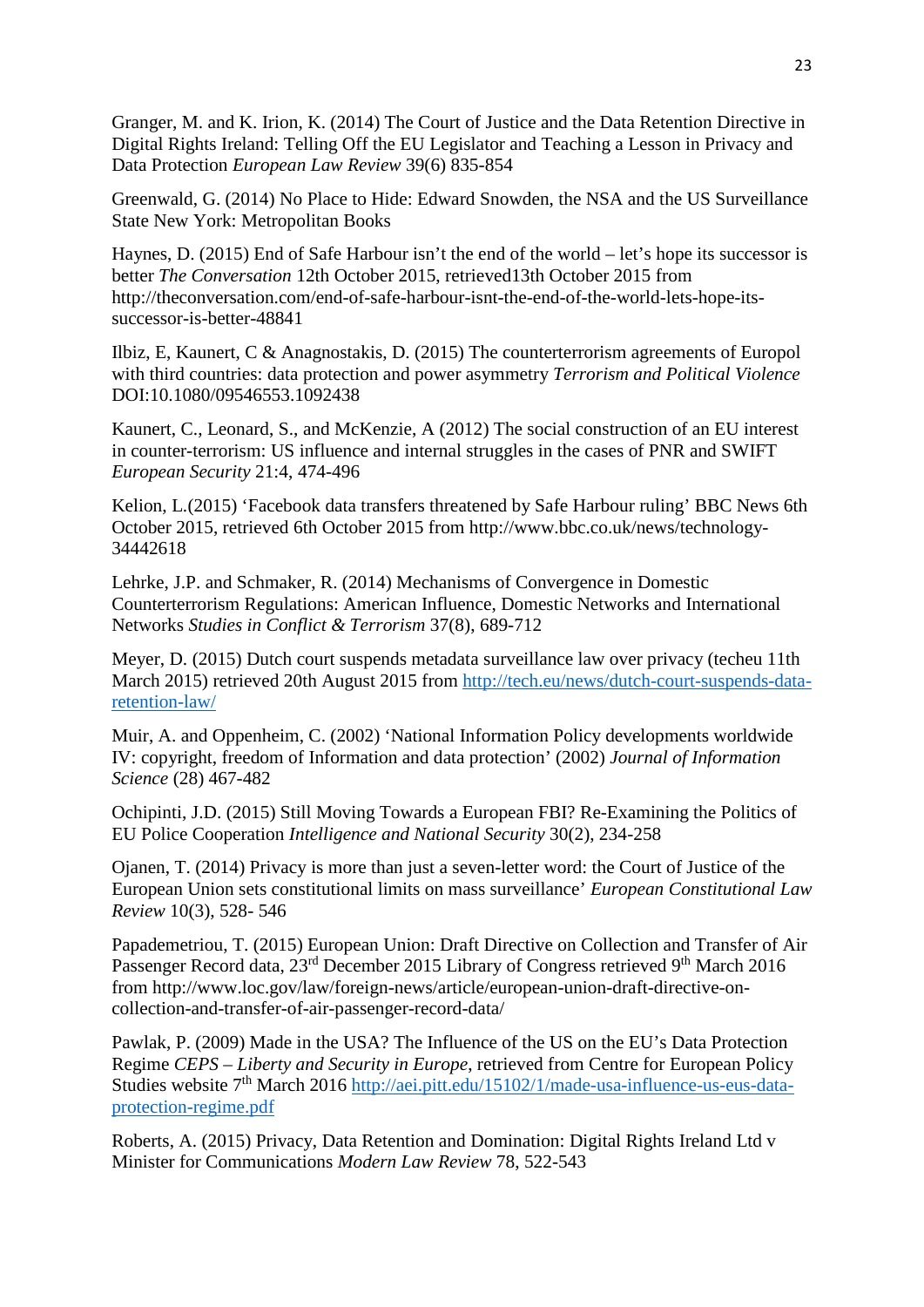Granger, M. and K. Irion, K. (2014) The Court of Justice and the Data Retention Directive in Digital Rights Ireland: Telling Off the EU Legislator and Teaching a Lesson in Privacy and Data Protection *European Law Review* 39(6) 835-854

Greenwald, G. (2014) No Place to Hide: Edward Snowden, the NSA and the US Surveillance State New York: Metropolitan Books

Haynes, D. (2015) End of Safe Harbour isn't the end of the world – let's hope its successor is better *The Conversation* 12th October 2015, retrieved13th October 2015 from http://theconversation.com/end-of-safe-harbour-isnt-the-end-of-the-world-lets-hope-itssuccessor-is-better-48841

Ilbiz, E, Kaunert, C & Anagnostakis, D. (2015) The counterterrorism agreements of Europol with third countries: data protection and power asymmetry *Terrorism and Political Violence* DOI:10.1080/09546553.1092438

Kaunert, C., Leonard, S., and McKenzie, A (2012) The social construction of an EU interest in counter-terrorism: US influence and internal struggles in the cases of PNR and SWIFT *European Security* 21:4, 474-496

Kelion, L.(2015) 'Facebook data transfers threatened by Safe Harbour ruling' BBC News 6th October 2015, retrieved 6th October 2015 from http://www.bbc.co.uk/news/technology-34442618

Lehrke, J.P. and Schmaker, R. (2014) Mechanisms of Convergence in Domestic Counterterrorism Regulations: American Influence, Domestic Networks and International Networks *Studies in Conflict & Terrorism* 37(8), 689-712

Meyer, D. (2015) Dutch court suspends metadata surveillance law over privacy (techeu 11th March 2015) retrieved 20th August 2015 from [http://tech.eu/news/dutch-court-suspends-data](http://tech.eu/news/dutch-court-suspends-data-retention-law/)[retention-law/](http://tech.eu/news/dutch-court-suspends-data-retention-law/)

Muir, A. and Oppenheim, C. (2002) 'National Information Policy developments worldwide IV: copyright, freedom of Information and data protection' (2002) *Journal of Information Science* (28) 467-482

Ochipinti, J.D. (2015) Still Moving Towards a European FBI? Re-Examining the Politics of EU Police Cooperation *Intelligence and National Security* 30(2), 234-258

Ojanen, T. (2014) Privacy is more than just a seven-letter word: the Court of Justice of the European Union sets constitutional limits on mass surveillance' *European Constitutional Law Review* 10(3), 528- 546

Papademetriou, T. (2015) European Union: Draft Directive on Collection and Transfer of Air Passenger Record data, 23<sup>rd</sup> December 2015 Library of Congress retrieved 9<sup>th</sup> March 2016 from http://www.loc.gov/law/foreign-news/article/european-union-draft-directive-oncollection-and-transfer-of-air-passenger-record-data/

Pawlak, P. (2009) Made in the USA? The Influence of the US on the EU's Data Protection Regime *CEPS – Liberty and Security in Europe*, retrieved from Centre for European Policy Studies website 7<sup>th</sup> March 2016 [http://aei.pitt.edu/15102/1/made-usa-influence-us-eus-data](http://aei.pitt.edu/15102/1/made-usa-influence-us-eus-data-protection-regime.pdf)[protection-regime.pdf](http://aei.pitt.edu/15102/1/made-usa-influence-us-eus-data-protection-regime.pdf)

Roberts, A. (2015) Privacy, Data Retention and Domination: Digital Rights Ireland Ltd v Minister for Communications *Modern Law Review* 78, 522-543